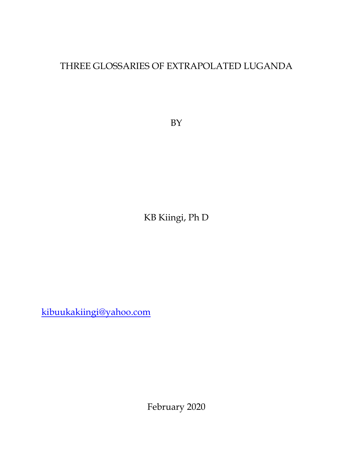# THREE GLOSSARIES OF EXTRAPOLATED LUGANDA

BY

KB Kiingi, Ph D

[kibuukakiingi@yahoo.com](mailto:kibuukakiingi@yahoo.com)

February 2020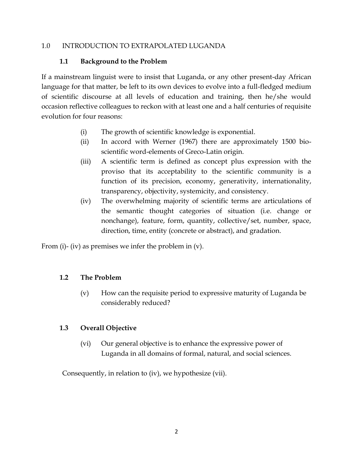#### 1.0 INTRODUCTION TO EXTRAPOLATED LUGANDA

### **1.1 Background to the Problem**

If a mainstream linguist were to insist that Luganda, or any other present-day African language for that matter, be left to its own devices to evolve into a full-fledged medium of scientific discourse at all levels of education and training, then he/she would occasion reflective colleagues to reckon with at least one and a half centuries of requisite evolution for four reasons:

- (i) The growth of scientific knowledge is exponential.
- (ii) In accord with Werner (1967) there are approximately 1500 bioscientific word-elements of Greco-Latin origin.
- (iii) A scientific term is defined as concept plus expression with the proviso that its acceptability to the scientific community is a function of its precision, economy, generativity, internationality, transparency, objectivity, systemicity, and consistency.
- (iv) The overwhelming majority of scientific terms are articulations of the semantic thought categories of situation (i.e. change or nonchange), feature, form, quantity, collective/set, number, space, direction, time, entity (concrete or abstract), and gradation.

From (i)- (iv) as premises we infer the problem in (v).

### **1.2 The Problem**

(v) How can the requisite period to expressive maturity of Luganda be considerably reduced?

### **1.3 Overall Objective**

(vi) Our general objective is to enhance the expressive power of Luganda in all domains of formal, natural, and social sciences.

Consequently, in relation to (iv), we hypothesize (vii).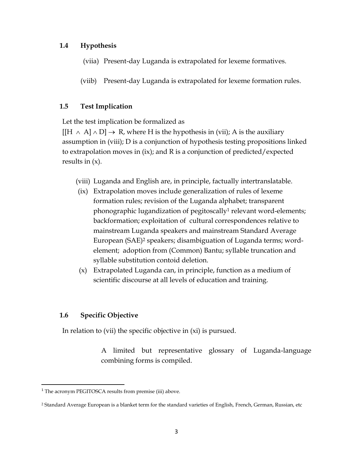#### **1.4 Hypothesis**

- (viia) Present-day Luganda is extrapolated for lexeme formatives.
- (viib) Present-day Luganda is extrapolated for lexeme formation rules.

#### **1.5 Test Implication**

Let the test implication be formalized as

 $[[H \wedge A] \wedge D] \rightarrow R$ , where H is the hypothesis in (vii); A is the auxiliary assumption in (viii); D is a conjunction of hypothesis testing propositions linked to extrapolation moves in (ix); and R is a conjunction of predicted/expected results in  $(x)$ .

- (viii) Luganda and English are, in principle, factually intertranslatable.
- (ix) Extrapolation moves include generalization of rules of lexeme formation rules; revision of the Luganda alphabet; transparent phonographic lugandization of pegitoscally<sup>1</sup> relevant word-elements; backformation; exploitation of cultural correspondences relative to mainstream Luganda speakers and mainstream Standard Average European (SAE)<sup>2</sup> speakers; disambiguation of Luganda terms; wordelement; adoption from (Common) Bantu; syllable truncation and syllable substitution contoid deletion.
- (x) Extrapolated Luganda can, in principle, function as a medium of scientific discourse at all levels of education and training.

#### **1.6 Specific Objective**

In relation to (vii) the specific objective in (xi) is pursued.

A limited but representative glossary of Luganda-language combining forms is compiled.

<sup>&</sup>lt;sup>1</sup> The acronym PEGITOSCA results from premise (iii) above.

<sup>2</sup> Standard Average European is a blanket term for the standard varieties of English, French, German, Russian, etc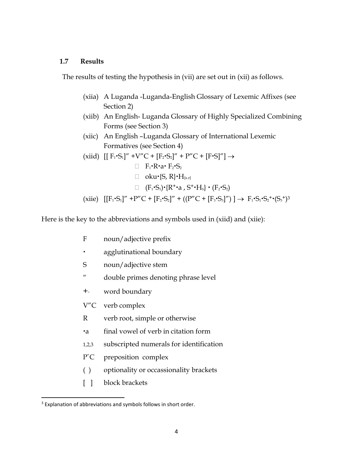#### **1.7 Results**

The results of testing the hypothesis in (vii) are set out in (xii) as follows.

- (xiia) A Luganda -Luganda-English Glossary of Lexemic Affixes (see Section 2)
- (xiib) An English- Luganda Glossary of Highly Specialized Combining Forms (see Section 3)
- (xiic) An English –Luganda Glossary of International Lexemic Formatives (see Section 4)
- $(xiid)$  [[ F<sub>1</sub>⋅S<sub>1</sub>]" +V"C + [F<sub>2</sub>⋅S<sub>2</sub>]" + P"C + [F⋅S]"] →  $\Box$  F<sub>1</sub> · R · a · F<sub>2</sub> · S<sub>2</sub>  $\Box$  oku $\{S, R\} \cdot H_{\{s,r\}}$  $\Box$   $(F_1 \cdot S_1) \cdot \{R^+ \cdot a, S^+ \cdot H_s\} \cdot (F_2 \cdot S_2)$ (xiie)  $[[F_1 \cdot S_1]'' + P''C + [F_2 \cdot S_2]'' + ((P''C + [F_3 \cdot S_3]'') ] \rightarrow F_1 \cdot S_1 \cdot S_2 \cdot (S_3)^3$

Here is the key to the abbreviations and symbols used in (xiid) and (xiie):

- F noun/adjective prefix
- agglutinational boundary
- S noun/adjective stem
- " double primes denoting phrase level
- +" word boundary
- V"C verb complex
- R verb root, simple or otherwise
- a final vowel of verb in citation form
- 1,2,3 subscripted numerals for identification
- P"C preposition complex
- ( ) optionality or occassionality brackets
- [ ] block brackets

<sup>&</sup>lt;sup>3</sup> Explanation of abbreviations and symbols follows in short order.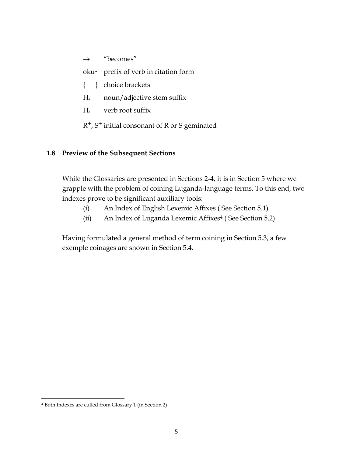$\rightarrow$  "becomes"

oku · prefix of verb in citation form

- { } choice brackets
- H<sup>s</sup> noun/adjective stem suffix
- H<sup>r</sup> verb root suffix
- R+, S+ initial consonant of R or S geminated

### **1.8 Preview of the Subsequent Sections**

While the Glossaries are presented in Sections 2-4, it is in Section 5 where we grapple with the problem of coining Luganda-language terms. To this end, two indexes prove to be significant auxiliary tools:

- (i) An Index of English Lexemic Affixes ( See Section 5.1)
- (ii) An Index of Luganda Lexemic Affixes<sup>4</sup> (See Section 5.2)

Having formulated a general method of term coining in Section 5.3, a few exemple coinages are shown in Section 5.4.

<sup>4</sup> Both Indexes are culled from Glossary 1 (in Section 2)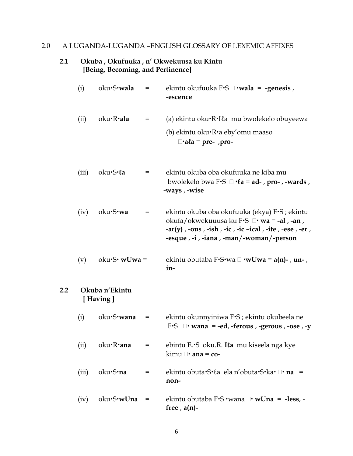## 2.0 A LUGANDA-LUGANDA –ENGLISH GLOSSARY OF LEXEMIC AFFIXES

#### **2.1 Okuba , Okufuuka , n' Okwekuusa ku Kintu [Being, Becoming, and Pertinence]**

 $2.2$ 

| (i)   | oku·S·wala                 | =   | ekintu okufuuka F·S □ ·wala = -genesis,<br>-escence                                                                                                                                                         |
|-------|----------------------------|-----|-------------------------------------------------------------------------------------------------------------------------------------------------------------------------------------------------------------|
| (ii)  | oku·R·ala                  | $=$ | (a) ekintu oku $\cdot$ R $\cdot$ I $\ell$ a mu bwolekelo obuyeewa<br>(b) ekintu oku·R·a eby'omu maaso<br>$\Box$ ala = pre-, pro-                                                                            |
| (iii) | oku.S.la                   | =   | ekintu okuba oba okufuuka ne kiba mu<br>bwolekelo bwa F $\cdot$ S $\Box \cdot$ ea = ad-, pro-, -wards,<br>-ways , -wise                                                                                     |
| (iv)  | oku·S·wa                   | $=$ | ekintu okuba oba okufuuka (ekya) F•S ; ekintu<br>okufa/okwekuuusa ku F·S □ · wa = -al, -an,<br>- $ar(y)$ , -ous, -ish, -ic, -ic -ical, -ite, -ese, -er,<br>-esque $, -i$ , $-iana$ , $-man$ /-woman/-person |
| (v)   | $oku-S\cdot wUwa =$        |     | ekintu obutaba F•S•wa $\Box$ •w <b>Uwa = a(n)-</b> , <b>un-</b> ,<br>in-                                                                                                                                    |
|       | Okuba n'Ekintu<br>[Having] |     |                                                                                                                                                                                                             |
| (i)   | oku·S·wana                 | =   | ekintu okunnyiniwa F·S; ekintu okubeela ne<br>F.S $\Box$ wana = -ed, -ferous, -gerous, -ose, -y                                                                                                             |
| (ii)  | oku·R·ana                  | =   | ebintu F <sub><sup>+</sup></sub> S oku.R. <b>Ita</b> mu kiseela nga kye<br>$\lim$ u $\Box$ ana = co-                                                                                                        |
| (iii) | oku·S·na                   | =   | ekintu obuta $\cdot$ S $\cdot$ la ela n'obuta $\cdot$ S $\cdot$ ka $\cdot \Box \cdot$ na =<br>non-                                                                                                          |
| (iv)  | oku·S·wUna                 | =   | ekintu obutaba F $\cdot$ S $\cdot$ wana $\Box$ $\cdot$ w <b>Una</b> = -less, -<br>free $, a(n)-$                                                                                                            |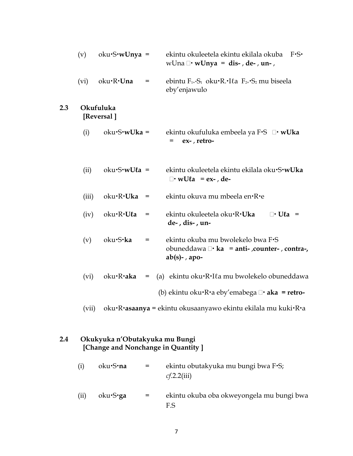|     | (v)   | $oku-S\cdot wUnya =$                                                 |     | ekintu okuleetela ekintu ekilala okuba<br>$F-S$<br>wUna $\Box$ • wUnya = dis-, de-, un-,                 |
|-----|-------|----------------------------------------------------------------------|-----|----------------------------------------------------------------------------------------------------------|
|     | (vi)  | oku•R• <b>Una</b>                                                    | =   | ebintu $F_{1*}S_1$ oku $\cdot$ R. $\cdot$ I $\ell$ a $F_{2*}S_2$ mu biseela<br>eby'enjawulo              |
| 2.3 |       | Okufuluka<br>[Reversal]                                              |     |                                                                                                          |
|     | (i)   | $oku-S\cdot wUka =$                                                  |     | ekintu okufuluka embeela ya F•S □• wUka<br>ex-, retro-<br>=                                              |
|     | (ii)  | $oku-S\cdot wU\ell a =$                                              |     | ekintu okuleetela ekintu ekilala oku·S·wUka<br>$\Box$ wUla = ex-, de-                                    |
|     | (iii) | oku·R·Uka                                                            | $=$ | ekintu okuva mu mbeela en·R·e                                                                            |
|     | (iv)  | oku·R·Ula                                                            | $=$ | ekintu okuleetela oku·R·Uka<br>$\Box$ • Ula =<br>de-, dis-, un-                                          |
|     | (v)   | oku·S·ka                                                             | =   | ekintu okuba mu bwolekelo bwa F.S<br>obuneddawa $\Box$ ka = anti-, counter-, contra-,<br>$ab(s)$ -, apo- |
|     | (vi)  | oku•R•aka                                                            | $=$ | (a) ekintu oku·R·Ita mu bwolekelo obuneddawa                                                             |
|     |       |                                                                      |     | (b) ekintu oku $\cdot$ R $\cdot$ a eby'emabega $\Box$ $\cdot$ aka = retro-                               |
|     |       |                                                                      |     | (vii) oku·R·asaanya = ekintu okusaanyawo ekintu ekilala mu kuki·R·a                                      |
| 2.4 |       | Okukyuka n'Obutakyuka mu Bungi<br>[Change and Nonchange in Quantity] |     |                                                                                                          |
|     | (i)   | oku•S•na                                                             | =   | ekintu obutakyuka mu bungi bwa F.S;<br>cf.2.2(iii)                                                       |
|     | (ii)  | oku.S.ga                                                             | =   | ekintu okuba oba okweyongela mu bungi bwa<br>F.S                                                         |

7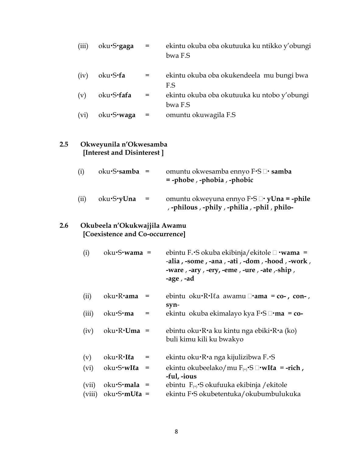|     | (iii)  | oku·S·gaga                                                      | $=$ | ekintu okuba oba okutuuka ku ntikko y'obungi<br>bwa F.S                                                                                                                                            |
|-----|--------|-----------------------------------------------------------------|-----|----------------------------------------------------------------------------------------------------------------------------------------------------------------------------------------------------|
|     | (iv)   | oku·S·fa                                                        | $=$ | ekintu okuba oba okukendeela mu bungi bwa<br>F.S                                                                                                                                                   |
|     | (v)    | oku·S·fafa                                                      | =   | ekintu okuba oba okutuuka ku ntobo y'obungi<br>bwa F.S                                                                                                                                             |
|     | (vi)   | oku·S·waga                                                      | $=$ | omuntu okuwagila F.S                                                                                                                                                                               |
| 2.5 |        | Okweyunila n'Okwesamba<br>[Interest and Disinterest]            |     |                                                                                                                                                                                                    |
|     | (i)    | oku·S·samba                                                     | $=$ | omuntu okwesamba ennyo F•S □• samba<br>$=$ -phobe, -phobia, -phobic                                                                                                                                |
|     | (ii)   | oku·S·yUna                                                      | $=$ | omuntu okweyuna ennyo $F-S \square \cdot y$ Una = -phile<br>, -philous, -phily, -philia, -phil, philo-                                                                                             |
| 2.6 |        | Okubeela n'Okukwajjila Awamu<br>[Coexistence and Co-occurrence] |     |                                                                                                                                                                                                    |
|     | (i)    | oku·S·wama =                                                    |     | ebintu F <sub><sup>+</sup></sub> S okuba ekibinja/ekitole $\Box$ <b>wama</b> =<br>-alia, -some, -ana, -ati, -dom, -hood, -work,<br>-ware , -ary , -ery, -eme , -ure , -ate ,-ship ,<br>-age, $-ad$ |
|     | (ii)   | oku•R•ama                                                       | Ξ   | ebintu oku·R·Ila awamu □·ama = co-, con-,<br>syn-                                                                                                                                                  |
|     | (iii)  | oku•S•ma                                                        | =   | ekintu okuba ekimalayo kya $F\cdot S \square \cdot ma = co$                                                                                                                                        |
|     | (iv)   | $oku \cdot R \cdot U$ ma =                                      |     | ebintu oku $\cdot$ R $\cdot$ a ku kintu nga ebiki $\cdot$ R $\cdot$ a (ko)<br>buli kimu kili ku bwakyo                                                                                             |
|     | (v)    | oku•R•Ila                                                       | =   | ekintu oku•R•a nga kijulizibwa F <sub>+</sub> •S                                                                                                                                                   |
|     | (vi)   | oku·S·wIla                                                      | $=$ | ekintu okubeelako/mu $F_{(+)}$ 'S $\Box$ 'wIla = -rich,<br>-ful, -ious                                                                                                                             |
|     | (vii)  | $oku-S· mala =$                                                 |     | ebintu $F_{(+)}$ . Sokufuuka ekibinja / ekitole                                                                                                                                                    |
|     | (viii) | $oku-S·mU\ell a =$                                              |     | ekintu F·S okubetentuka/okubumbulukuka                                                                                                                                                             |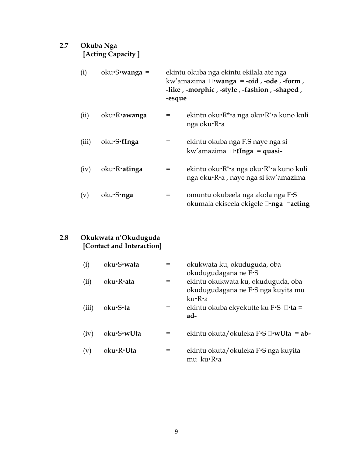## **2.7 Okuba Nga [Acting Capacity ]**

| (i) | $oku-S$ <b>wanga</b> = | ekintu okuba nga ekintu ekilala ate nga      |
|-----|------------------------|----------------------------------------------|
|     |                        | kw'amazima $\Box$ wanga = -oid, -ode, -form, |
|     |                        | -like, -morphic, -style, -fashion, -shaped,  |
|     |                        | -esque                                       |

- (ii) oku**·R·awanga** = ekintu oku**·**R\***·**a nga oku**·**R\***·**a kuno kuli nga oku·R·a
- (iii) okuS**ℓInga** = ekintu okuba nga F.S naye nga si kw'amazima **ℓInga** = **quasi-**
- (iv) oku·R·a*linga* = ekintu oku·R<sup>\*</sup>·a nga oku·R<sup>\*</sup>·a kuno kuli nga oku·R·a, naye nga si kw'amazima
- (v) oku**·S·nga** = omuntu okubeela nga akola nga F·S okumala ekiseela ekigele **nga** =**acting**

#### **2.8 Okukwata n'Okuduguda [Contact and Interaction]**

| (i)   | oku·S·wata | =   | okukwata ku, okuduguda, oba<br>okudugudagana ne F.S                                |
|-------|------------|-----|------------------------------------------------------------------------------------|
| (ii)  | oku·R·ata  | =   | ekintu okukwata ku, okuduguda, oba<br>okudugudagana ne F•S nga kuyita mu<br>ku•R•a |
| (iii) | oku•S•ta   | $=$ | ekintu okuba ekyekutte ku F•S □•ta =<br>ad-                                        |
| (iv)  | oku·S·wUta | =   | ekintu okuta/okuleka F·S □·wUta = ab-                                              |
| (v)   | oku·R·Uta  | =   | ekintu okuta/okuleka F·S nga kuyita<br>mu ku·R·a                                   |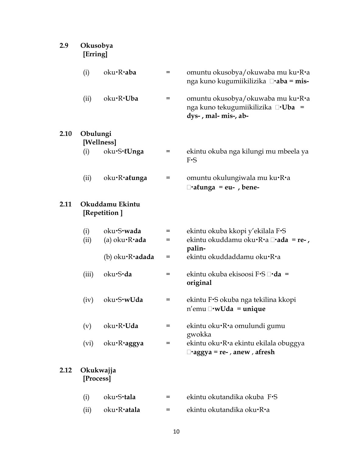| 2.9  | Okusobya<br>[Erring] |                                                  |        |                                                                                                       |  |  |  |
|------|----------------------|--------------------------------------------------|--------|-------------------------------------------------------------------------------------------------------|--|--|--|
|      | (i)                  | oku·R·aba                                        | $=$    | omuntu okusobya/okuwaba mu ku•R•a<br>nga kuno kugumiikilizika □•aba = mis-                            |  |  |  |
|      | (ii)                 | oku·R·Uba                                        | $=$    | omuntu okusobya/okuwaba mu ku•R•a<br>nga kuno tekugumiikilizika □·Uba =<br>dys-, mal- mis-, ab-       |  |  |  |
| 2.10 | Obulungi             | [Wellness]                                       |        |                                                                                                       |  |  |  |
|      | (i)                  | oku·S·lUnga                                      | =      | ekintu okuba nga kilungi mu mbeela ya<br>$F-S$                                                        |  |  |  |
|      | (ii)                 | oku·R·alunga                                     | =      | omuntu okulungiwala mu ku•R•a<br>$\Box$ alunga = eu-, bene-                                           |  |  |  |
| 2.11 |                      | Okuddamu Ekintu<br>[Repetition]                  |        |                                                                                                       |  |  |  |
|      | (i)<br>(ii)          | oku·S·wada<br>(a) $oku \cdot R \cdot \text{ada}$ | =<br>= | ekintu okuba kkopi y'ekilala F·S<br>ekintu okuddamu oku $\cdot$ R $\cdot$ a $\Box$ $\cdot$ ada = re-, |  |  |  |
|      |                      | (b) $oku \cdot R \cdot \text{adada}$             | =      | palin-<br>ekintu okuddaddamu oku·R·a                                                                  |  |  |  |
|      | (iii)                | oku·S·da                                         | =      | ekintu okuba ekisoosi F•S □•da =<br>original                                                          |  |  |  |
|      |                      | $(iv)$ oku $\cdot$ S $\cdot$ wUda                | $=$    | ekintu F·S okuba nga tekilina kkopi<br>$n'$ emu $\Box$ •w <b>Uda</b> = unique                         |  |  |  |
|      | (v)                  | oku·R·Uda                                        | =      | ekintu oku·R·a omulundi gumu<br>gwokka                                                                |  |  |  |
|      | (vi)                 | oku R aggya                                      | =      | ekintu oku·R·a ekintu ekilala obuggya<br>$\Box$ •aggya = re-, anew, afresh                            |  |  |  |
| 2.12 | [Process]            | Okukwajja                                        |        |                                                                                                       |  |  |  |
|      | (i)                  | oku·S·tala                                       | =      | ekintu okutandika okuba F·S                                                                           |  |  |  |
|      | (ii)                 | oku·R·atala                                      | =      | ekintu okutandika oku•R•a                                                                             |  |  |  |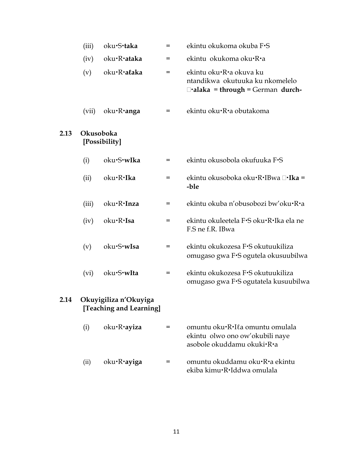|      | (iii) | oku·S·taka                                       | $=$ | ekintu okukoma okuba F·S                                                                              |
|------|-------|--------------------------------------------------|-----|-------------------------------------------------------------------------------------------------------|
|      | (iv)  | oku·R·ataka                                      | $=$ | ekintu okukoma oku·R·a                                                                                |
|      | (v)   | oku·R·alaka                                      | $=$ | ekintu oku·R·a okuva ku<br>ntandikwa okutuuka ku nkomelelo<br>$\Box$ •alaka = through = German durch- |
|      | (vii) | oku·R·anga                                       | =   | ekintu oku·R·a obutakoma                                                                              |
| 2.13 |       | Okusoboka<br>[Possibility]                       |     |                                                                                                       |
|      | (i)   | oku·S·wIka                                       | $=$ | ekintu okusobola okufuuka F·S                                                                         |
|      | (ii)  | oku·R·Ika                                        | $=$ | ekintu okusoboka oku∙R∙IBwa □•Ika =<br>-ble                                                           |
|      | (iii) | oku·R·Inza                                       | $=$ | ekintu okuba n'obusobozi bw'oku•R•a                                                                   |
|      | (iv)  | oku·R·Isa                                        | $=$ | ekintu okuleetela F·S oku·R·Ika ela ne<br>F.S ne f.R. IBwa                                            |
|      | (v)   | oku·S·wIsa                                       | $=$ | ekintu okukozesa F·S okutuukiliza<br>omugaso gwa F•S ogutela okusuubilwa                              |
|      | (vi)  | oku·S·wIta                                       | $=$ | ekintu okukozesa F·S okutuukiliza<br>omugaso gwa F·S ogutatela kusuubilwa                             |
| 2.14 |       | Okuyigiliza n'Okuyiga<br>[Teaching and Learning] |     |                                                                                                       |
|      | (i)   | oku·R·ayiza                                      | =   | omuntu oku·R·Ila omuntu omulala<br>ekintu olwo ono ow'okubili naye<br>asobole okuddamu okuki·R·a      |
|      | (ii)  | oku•R•ayiga                                      | =   | omuntu okuddamu oku·R·a ekintu<br>ekiba kimu·R·Iddwa omulala                                          |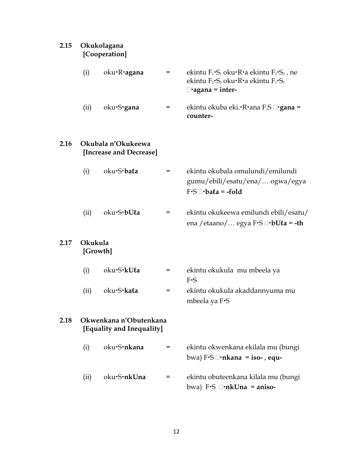| 2.15 |                     | Okukolagana<br>[Cooperation]                        |   |                                                                                                                                                                                |  |  |
|------|---------------------|-----------------------------------------------------|---|--------------------------------------------------------------------------------------------------------------------------------------------------------------------------------|--|--|
|      | (i)                 | oku R agana                                         | = | ekintu $F_1 \cdot S_1$ oku $\cdot R \cdot a$ ekintu $F_2 \cdot S_2$ , ne<br>ekintu $F_2\text{-}S_2$ oku $\text{-}R\text{-}a$ ekintu $F_1\text{-}S_1$<br>$\Box$ •agana = inter- |  |  |
|      | (ii)                | oku·S·gana                                          | = | ekintu okuba eki.•R•ana F.S □•gana =<br>counter-                                                                                                                               |  |  |
| 2.16 |                     | Okubala n'Okukeewa<br>[Increase and Decrease]       |   |                                                                                                                                                                                |  |  |
|      | (i)                 | oku·S·bala                                          | = | ekintu okubala omulundi/emilundi<br>gumu/ebili/esatu/ena/ ogwa/egya<br>$F-S \square \cdot ba\ell a = -fold$                                                                    |  |  |
|      | (ii)                | oku·S·bUla                                          | = | ekintu okukeewa emilundi ebili/esatu/<br>ena / etaano/  egya F·S □·bUℓa = -th                                                                                                  |  |  |
| 2.17 | Okukula<br>[Growth] |                                                     |   |                                                                                                                                                                                |  |  |
|      | (i)                 | oku·S·kUla                                          | = | ekintu okukula mu mbeela ya<br>$F-S$                                                                                                                                           |  |  |
|      | (ii)                | oku·S·kala                                          | = | ekintu okukula akaddannyuma mu<br>mbeela ya F·S                                                                                                                                |  |  |
| 2.18 |                     | Okwenkana n'Obutenkana<br>[Equality and Inequality] |   |                                                                                                                                                                                |  |  |
|      | (i)                 | oku·S·nkana                                         | = | ekintu okwenkana ekilala mu (bungi<br>bwa) $F\cdot S \square \cdot n$ kana = iso-, equ-                                                                                        |  |  |
|      | (ii)                | oku·S·nkUna                                         | = | ekintu obuteenkana kilala mu (bungi<br>bwa) F.S $\Box$ <b>nkUna</b> = aniso-                                                                                                   |  |  |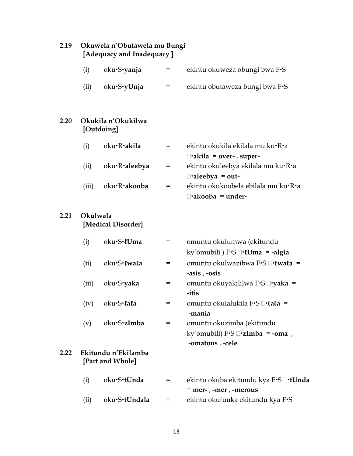| 2.19 | Okuwela n'Obutawela mu Bungi<br>[Adequacy and Inadequacy] |                                         |     |                                                                                                |  |  |
|------|-----------------------------------------------------------|-----------------------------------------|-----|------------------------------------------------------------------------------------------------|--|--|
|      | (i)                                                       | oku·S·yanja                             | $=$ | ekintu okuweza obungi bwa F·S                                                                  |  |  |
|      | (ii)                                                      | oku·S·yUnja                             | $=$ | ekintu obutaweza bungi bwa F.S                                                                 |  |  |
| 2.20 |                                                           | Okukila n'Okukilwa<br>[Outdoing]        |     |                                                                                                |  |  |
|      | (i)                                                       | oku·R·akila                             | $=$ | ekintu okukila ekilala mu ku•R•a<br>$\Box$ •akila = over-, super-                              |  |  |
|      | (ii)                                                      | oku·R·aleebya                           | $=$ | ekintu okuleebya ekilala mu ku•R•a<br>$\Box$ •aleebya = out-                                   |  |  |
|      | (iii)                                                     | oku·R·akooba                            | =   | ekintu okukoobela ebilala mu ku·R·a<br>$\Box$ akooba = under-                                  |  |  |
| 2.21 | Okulwala                                                  | [Medical Disorder]                      |     |                                                                                                |  |  |
|      | (i)                                                       | oku·S·lUma                              | =   | omuntu okulumwa (ekitundu<br>ky'omubili ) $F-S \square \cdot \ell \text{U}$ ma = -algia        |  |  |
|      | (ii)                                                      | oku·S·lwala                             | $=$ | omuntu okulwazibwa F•S □· twata =<br>-asis, -osis                                              |  |  |
|      | (iii)                                                     | oku·S·yaka                              | $=$ | omuntu okuyakililwa F•S □•yaka =<br>-itis                                                      |  |  |
|      | (iv)                                                      | oku·S·lala                              | =   | omuntu okulalukila F·S□·lala =<br>-mania                                                       |  |  |
|      | (v)                                                       | oku·S·zImba                             | =   | omuntu okuzimba (ekitundu<br>ky'omubili) $F-S \square \cdot zImba = -oma$ ,<br>-omatous, -cele |  |  |
| 2.22 |                                                           | Ekitundu n'Ekilamba<br>[Part and Whole] |     |                                                                                                |  |  |
|      | (i)                                                       | oku·S·tUnda                             | =   | ekintu okuba ekitundu kya F•S □•t <b>Unda</b><br>= mer-, -mer, -merous                         |  |  |
|      | (ii)                                                      | oku·S·tUndala                           | =   | ekintu okufuuka ekitundu kya F·S                                                               |  |  |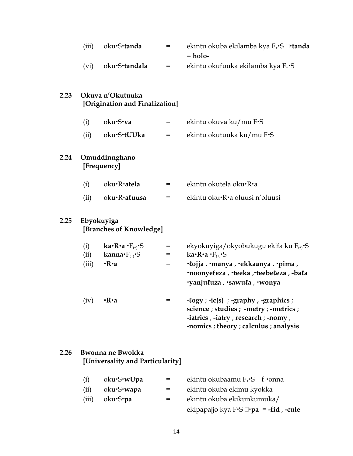|      | (iii) | oku·S·tanda                                        | $=$ | ekintu okuba ekilamba kya F <sub>+</sub> S □ <b>·tanda</b><br>$=$ holo-                                                                                                   |
|------|-------|----------------------------------------------------|-----|---------------------------------------------------------------------------------------------------------------------------------------------------------------------------|
|      | (vi)  | oku·S·tandala                                      | $=$ | ekintu okufuuka ekilamba kya F <sub>+</sub> S                                                                                                                             |
| 2.23 |       | Okuva n'Okutuuka<br>[Origination and Finalization] |     |                                                                                                                                                                           |
|      | (i)   | oku·S·va                                           | $=$ | ekintu okuva ku/mu F·S                                                                                                                                                    |
|      | (ii)  | oku·S·tUUka                                        | =   | ekintu okutuuka ku/mu F.S                                                                                                                                                 |
| 2.24 |       | Omuddinnghano<br>[Frequency]                       |     |                                                                                                                                                                           |
|      | (i)   | oku·R·atela                                        | $=$ | ekintu okutela oku·R·a                                                                                                                                                    |
|      | (ii)  | oku·R·aluusa                                       | $=$ | ekintu oku·R·a oluusi n'oluusi                                                                                                                                            |
| 2.25 |       | Ebyokuyiga<br>[Branches of Knowledge]              |     |                                                                                                                                                                           |
|      | (i)   | ka•R•a•F $_{(+)}$ •S                               | $=$ | ekyokuyiga/okyobukugu ekifa ku F <sub>(+)</sub> ·S                                                                                                                        |
|      | (ii)  | kanna $\cdot F_{(+)}\cdot S$                       | $=$ | ka•R•a•F <sub>(+)</sub> •S                                                                                                                                                |
|      | (iii) | $\cdot$ R $\cdot$ a                                | $=$ | · lojja , ·manya , ·ekkaanya , ·pima ,<br>·noonyeleza, ·teeka, ·teebeleza, -bala<br>vanjuluza, sawula, wonya                                                              |
|      | (iv)  | $\cdot$ R $\cdot$ a                                | $=$ | $-logy$ ; $-ic(s)$ ; $-graphy$ , $-graphics$ ;<br>science ; studies ; -metry ; -metrics ;<br>-iatrics, -iatry; research; -nomy,<br>-nomics ; theory ; calculus ; analysis |

## **2.26 Bwonna ne Bwokka [Universality and Particularity]**

| (i)   | oku S w Upa        | $=$ | ekintu okubaamu F <sub>+</sub> S f <sub>+</sub> •onna |
|-------|--------------------|-----|-------------------------------------------------------|
| (ii)  | oku S <b>·wapa</b> | $=$ | ekintu okuba ekimu kyokka                             |
| (iii) | oku S <b>·pa</b>   | $=$ | ekintu okuba ekikunkumuka/                            |
|       |                    |     | ekipapajjo kya F⋅S $\Box$ ⋅pa = -fid, -cule           |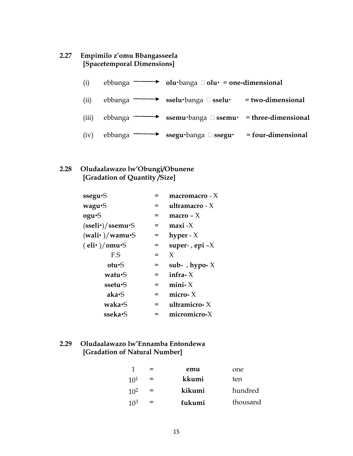### **2.27 Empimilo z'omu Bbangasseela [Spacetemporal Dimensions]**

| (i)   | ebbanga $\overline{\phantom{a}}$ | $\rightarrow$ olu·banga $\Box$ olu· = one-dimensional        |                      |
|-------|----------------------------------|--------------------------------------------------------------|----------------------|
| (ii)  | ebbanga —                        | → sselu·banga □ sselu·                                       | $= two-dimensional$  |
| (iii) | ebbanga —                        | <b>ssemu</b> ·banga $\Box$ <b>ssemu·</b> = three-dimensional |                      |
| (iv)  | ebbanga —                        | ssegu·banga □ ssegu·                                         | $= four-dimensional$ |

#### **2.28 Oludaalawazo lw'Obungi/Obunene [Gradation of Quantity /Size]**

| ssegu. <sup>S</sup>            |     | macromacro - $X$ |
|--------------------------------|-----|------------------|
| wagu <sup>-</sup> S            | =   | ultramacro - $X$ |
| ogu.S                          | =   | macro $- X$      |
| $(sself·)/s$ semu $\cdot$ S    | =   | $maxi -X$        |
| (wali•)/wamu·S                 | $=$ | hyper - $X$      |
| $\text{(eli•)} / \text{omu·S}$ | $=$ | super-, epi $-X$ |
| F.S                            | $=$ | X                |
| otu. <sup>S</sup>              | $=$ | sub-, hypo- $X$  |
| watu•S                         | =   | infra- $X$       |
| ssetu•S                        | =   | mini- $X$        |
| aka•S                          | =   | micro- $X$       |
| waka•S                         | =   | ultramicro- $X$  |
| sseka•S                        |     | micromicro-X     |

## **2.29 Oludaalawazo lw'Ennamba Entondewa [Gradation of Natural Number]**

|                 | $=$ | emu    | one      |
|-----------------|-----|--------|----------|
| 10 <sup>1</sup> | $=$ | kkumi  | ten      |
| 10 <sup>2</sup> | $=$ | kikumi | hundred  |
| 10 <sup>3</sup> | $=$ | lukumi | thousand |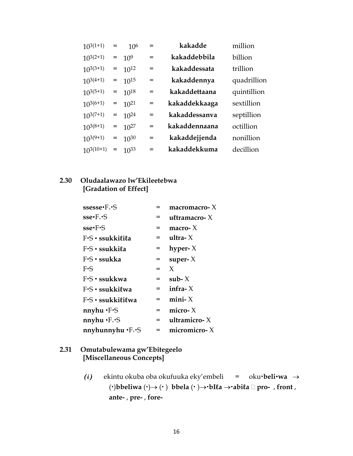| $10^{3(1+1)}$  | $=$ | 10 <sup>6</sup> | $=$ | kakadde       | million     |
|----------------|-----|-----------------|-----|---------------|-------------|
| $10^{3(2+1)}$  | $=$ | $10^{9}$        | $=$ | kakaddebbila  | billion     |
| $10^{3(3+1)}$  | $=$ | $10^{12}$       | $=$ | kakaddessata  | trillion    |
| $10^{3(4+1)}$  | $=$ | $10^{15}$       | $=$ | kakaddennya   | quadrillion |
| $10^{3(5+1)}$  | $=$ | $10^{18}$       | $=$ | kakaddettaana | quintillion |
| $10^{3(6+1)}$  | $=$ | $10^{21}$       | $=$ | kakaddekkaaga | sextillion  |
| $10^{3(7+1)}$  | $=$ | $10^{24}$       | $=$ | kakaddessanva | septillion  |
| $10^{3(8+1)}$  | $=$ | $10^{27}$       | $=$ | kakaddennaana | octillion   |
| $10^{3(9+1)}$  | $=$ | $10^{30}$       | $=$ | kakaddejjenda | nonillion   |
| $10^{3(10+1)}$ | $=$ | $10^{33}$       | $=$ | kakaddekkuma  | decillion   |

#### **2.30 Oludaalawazo lw'Ekileetebwa [Gradation of Effect]**

| $s$ ssesse $\cdot$ F $\cdot$ S                         | =   | $macromacro-X$  |
|--------------------------------------------------------|-----|-----------------|
| $\textbf{sse} \cdot \textbf{F}_\cdot \cdot \textbf{S}$ | =   | ultramacro- $X$ |
| $\textbf{sse-F-S}$                                     | $=$ | macro- $X$      |
| F.S · ssukkilila                                       | =   | ultra- $X$      |
| F.S · ssukkila                                         | $=$ | hyper- $X$      |
| $F-S \cdot$ ssukka                                     | =   | super- $X$      |
| $F-S$                                                  | $=$ | X               |
| $F-S \cdot$ ssukkwa                                    | $=$ | sub- $X$        |
| $F-S \cdot$ ssukkilwa                                  | $=$ | infra- $X$      |
| $F-S \cdot$ ssukki $\ell$ i $\ell$ wa                  | $=$ | mini- $X$       |
| nnyhu ·F·S                                             | =   | micro- $X$      |
| nnyhu $\cdot$ F $\cdot$ $\cdot$ S                      | =   | ultramicro-X    |
| $n$ nyhunnyhu $\cdot$ F $\cdot$ S                      | =   | micromicro-X    |

### **2.31 Omutabulewama gw'Ebitegeelo [Miscellaneous Concepts]**

**(i)** ekintu okuba oba okufuuka eky'embeli = oku**beliwa** →  $(\cdot)$ **bbeliwa**  $(\cdot) \rightarrow (\cdot)$  **bbela**  $(\cdot) \rightarrow \cdot \text{bI}$ **la**  $\rightarrow \cdot \text{abil}$ **a**  $\Box$  **pro-** , **front**, **ante-** , **pre-** , **fore-**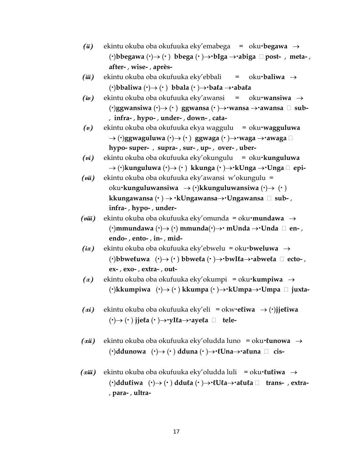- **(ii)** ekintu okuba oba okufuuka eky'emabega = oku**begawa** →  $(·)$ bbegawa  $(·) \rightarrow (·)$  bbega  $(·) \rightarrow \text{·}$ bIga  $\rightarrow \text{·}$ abiga  $\Box$  post-, meta-, **after-** , **wise-** , **après-**
- **(iii)** ekintu okuba oba okufuuka eky'ebbali = oku**baliwa** →  $(\cdot)$ **bbaliwa**  $(\cdot) \rightarrow (\cdot)$  **bbala**  $(\cdot) \rightarrow \cdot$ **bala**  $\rightarrow \cdot$ **abala**
- **(iv)** ekintu okuba oba okufuuka eky'awansi = oku**wansiwa** → ()**ggwansiwa** ()→ ( ) **ggwansa** ( )→**wansa** →**awansa sub-**  , **infra-** , **hypo-** , **under-** , **down-** , **cata-**
- **(v)** ekintu okuba oba okufuuka ekya waggulu = oku**wagguluwa**  $\rightarrow$  ( $\cdot$ )ggwaguluwa ( $\cdot$ ) $\rightarrow$  ( $\cdot$ ) ggwaga ( $\cdot$ ) $\rightarrow$  $\cdot$ waga  $\rightarrow$  $\cdot$ awaga  $\Box$ **hypo- super-** , **supra-** , **sur-** , **up-** , **over-** , **uber-**
- **(vi)** ekintu okuba oba okufuuka eky'okungulu = oku**kunguluwa** → ()**kunguluwa** ()→ ( ) **kkunga** ( )→**kUnga** →**Unga epi-**
- **(vii)** ekintu okuba oba okufuuka eky'awansi w'okungulu = oku**kunguluwansiwa** → ()**kkunguluwansiwa** ()→ ( ) **kkungawansa** ( ) → **kUngawansa**→**Ungawansa sub-** , **infra-** , **hypo-** , **under-**
- **(viii)** ekintu okuba oba okufuuka eky'omunda = oku**mundawa** →  $(\cdot)$ mmundawa  $(\cdot) \rightarrow (\cdot)$  mmunda $(\cdot) \rightarrow \cdot$  mUnda  $\rightarrow \cdot$ Unda  $\Box$  en**endo-** , **ento-** , **in-** , **mid-**
- **(ix)** ekintu okuba oba okufuuka eky'ebwelu = oku**bweluwa** →  $(\cdot)$ bbwe $\ell$ uwa  $(\cdot) \rightarrow (\cdot)$  bbwe $\ell$ a  $(\cdot) \rightarrow \cdot$ bwI $\ell$ a $\rightarrow \cdot$ abwe $\ell$ a  $\Box$  ecto-, **ex-** , **exo-** , **extra-** , **out-**
- **(x)** ekintu okuba oba okufuuka eky'okumpi = oku**kumpiwa** → ()**kkumpiwa** ()→ ( ) **kkumpa** ( )→**kUmpa**→**Umpa juxta-**
- $(\alpha i)$  ekintu okuba oba okufuuka eky'eli = okw•e**liwa** → (•)**jjeliwa**  $(\cdot) \rightarrow (\cdot)$  **jie** $\ell$ **a**  $(\cdot) \rightarrow \cdot \text{vI}$  $\ell$ **a** $\rightarrow \cdot \text{a}$ **ye** $\ell$ **a**  $\Box$  **tele**
- **(xii)** ekintu okuba oba okufuuka eky'oludda luno = oku**ℓunowa** → ()**ddunowa** ()→ ( ) **dduna** ( )→**ℓUna**→**aℓuna cis-**
- **(xiii)** ekintu okuba oba okufuuka eky'oludda luli = oku**ℓuℓiwa** → ()**dduℓiwa** ()→ ( ) **dduℓa** ( )→**ℓUℓa**→**aℓuℓa trans-** , **extra-** , **para-** , **ultra-**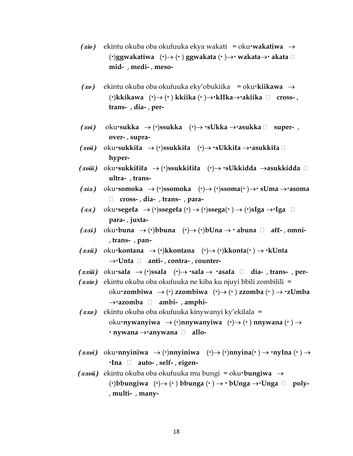- **(xiv)** ekintu okuba oba okufuuka ekya wakati = oku**wakatiwa** → ()**ggwakatiwa** ()→ ( ) **ggwakata** ( )→ **wakata**→ **akata mid-** , **medi-** , **meso-**
- **(xv)** ekintu okuba oba okufuuka eky'obukiika = oku**kiikawa** → ()**kkikawa** ()→ ( ) **kkiika** ( )→**kIIka**→**akiika cross-** , **trans-** , **dia-** , **per-**
- $(xui)$  oku•sukka → (•)ssukka  $(·)$ → •sUkka →•asukka  $\Box$  super**over-** , **supra-**
- **(xvii)** oku**sukkiℓa** → ()**ssukkiℓa** ()→ **sUkkiℓa** →**asukkiℓa hyper-**
- **(xviii)** oku**sukkiℓiℓa** → ()**ssukkiℓiℓa** ()→ **sUkkidda** →**asukkidda ultra-** , **trans-**
- $(xix)$  oku•somoka → (•)ssomoka  $(·) \rightarrow (·)$ ssoma $(·) \rightarrow$  sUma →•asoma **cross-** , **dia-** , **trans-** , **para-**
- $(xx)$  oku•sege $\ell$ a → (•)ssege $\ell$ a (•) → (•)ssega(•) → (•)sIga →**·**Iga □ **para-** , **juxta-**
- $(xxi)$  oku·buna → (·)bbuna  $(\cdot) \rightarrow (\cdot)$ bUna→  $\cdot$  abuna  $\Box$  all-, omni-, **trans-** , **pan-**
- $(xxii)$  oku**·kontana** → (**·**)kkontana  $(\cdot)$ → (**·**)kkonta $(\cdot)$  → **·**kUnta →**Unta anti-** , **contra-** , **counter-**
- $(xxiiii)$  oku sala → (·)ssala  $(\cdot)$ → sala → ·asala  $\Box$  dia-, trans-, per-
- **(xxiv)** ekintu okuba oba okufuuka ne kiba ku njuyi bbili zombilili = oku**zombiwa** → () **zzombiwa** ()→ ( ) **zzomba** ( ) → **zUmba**  →**azomba ambi-** , **amphi-**
- **(xxv)** ekintu okuba oba okufuuka kinywanyi ky'ekilala = oku**nywanyiwa** → ()**nnywanyiwa** ()→ ( ) **nnywana** ( ) → **nywana** →**anywana allo-**
- $(xxwi)$  oku·nnyiniwa  $\rightarrow$  (·)nnyiniwa  $(\cdot) \rightarrow$  (·)nnyina $(\cdot) \rightarrow$ ·nyIna $(\cdot) \rightarrow$ **Ina auto-** , **self-** , **eigen-**
- **(xxvii)** ekintu okuba oba okufuuka mu bungi = oku**bungiwa** →  $(\cdot)$ bbungiwa  $(\cdot) \rightarrow (\cdot)$  bbunga  $(\cdot) \rightarrow \cdot$  bUnga  $\rightarrow \cdot$ Unga  $\Box$  poly-, **multi-** , **many-**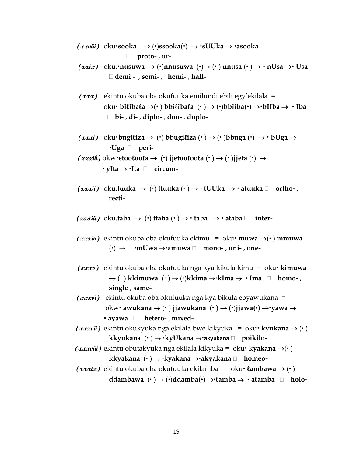- **(xxviii)** oku**sooka** → ()**ssooka**() → **sUUka** → **asooka proto-** , **ur-**
- $(xxix)$  oku. **nusuwa** → (**)** $\rightarrow$  **nnusuwa**  $(\cdot) \rightarrow$  (**)** $\rightarrow$  **nnusa**  $(\cdot) \rightarrow$  **nUsa** → **Usa demi -** , **semi-** , **hemi-** , **half-**
- **(xxx)** ekintu okuba oba okufuuka emilundi ebili egy'ekilala =  $oku \cdot \text{b}$ **i** $\text{t}$ iba $\text{t}$ a → $(\cdot)$  bbi $\text{t}$ iba $\text{t}$ a  $(\cdot)$  →  $(\cdot)$ bbiiba $(\cdot)$  → $\cdot$ bIIba →  $\cdot$  Iba **bi-** , **di-** , **diplo-** , **duo-** , **duplo-**
- $(xxxi)$  oku·bugitiza  $\rightarrow$  (·) bbugitiza (·)  $\rightarrow$  (·) bbuga (·)  $\rightarrow$  · bUga  $\rightarrow$ **Uga peri-**

 $(xxx$ *ik*) okw•etooloola  $\rightarrow$  (•) jjetooloola  $(\cdot) \rightarrow$  (•) jjeta  $(\cdot) \rightarrow$ **yIta** → **Ita circum-**

- $(xx\overline{x}u)$  oku.tuuka  $\rightarrow$  ( $\cdot$ ) ttuuka  $(\cdot) \rightarrow \cdot$  tUUka  $\rightarrow \cdot$  atuuka  $\Box$  ortho-, **recti-**
- $(xxxiii)$  oku.taba → (·) ttaba  $(·)$  → · taba → · ataba  $\Box$  inter-
- $(xxxiu)$  ekintu okuba oba okufuuka ekimu = oku **muwa**  $\rightarrow$ ( $\cdot$ ) **mmuwa**  $(\cdot) \rightarrow$  **mUwa**  $\rightarrow$ **camuwa**  $\Box$  **mono-**, **uni-**, **one-**
- **(xxxv)** ekintu okuba oba okufuuka nga kya kikula kimu = oku **kimuwa**   $\rightarrow$  ( $\cdot$ ) kkimuwa  $(\cdot) \rightarrow (\cdot)$ kkima $\rightarrow \cdot$ kIma $\rightarrow \cdot$ Ima  $\Box$  homo-, **single** , **same-**
- **(xxxvi)** ekintu okuba oba okufuuka nga kya bikula ebyawukana = okw **awukana** → ( ) **jjawukana** ( ) → ()**jjawa()** →**yawa** → **ayawa hetero-** , **mixed-**
- $(xxxuu)$  ekintu okukyuka nga ekilala bwe kikyuka = oku**· kyukana**  $\rightarrow$  (·) **kkyukana** ( ) → **kyUkana** →**akyukana poikilo-**
- **(***xxxviii***)** ekintu obutakyuka nga ekilala kikyuka = oku• **kyakana** →(•) **kkyakana** ( ) → k**yakana** →**akyakana homeo-**
- $(xx\sin\theta)$  ekintu okuba oba okufuuka ekilamba = oku *lambawa*  $\rightarrow$  ( $\cdot$ ) **ddambawa** ( ) → ()**ddamba()** →**ℓamba** → **aℓamba holo-**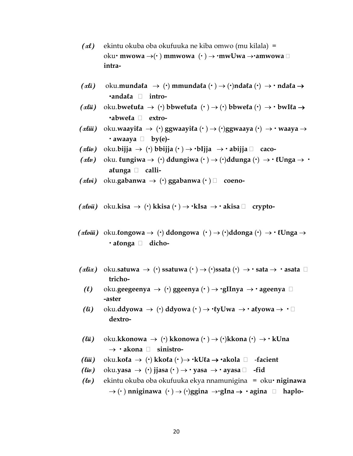- **(xl)** ekintu okuba oba okufuuka ne kiba omwo (mu kilala) = oku **• mwowa →( • ) mmwowa ( • ) → ·mwUwa → ·amwowa** □ **intra-**
- $(\alpha \mathbf{i} \mathbf{i})$  oku.munda $\mathbf{i} \mathbf{a}$  → ( $\cdot$ ) mmunda $\mathbf{i} \mathbf{a}$  ( $\cdot$ ) →  $(\cdot)$  mda $\mathbf{i} \mathbf{a}$  →  $\cdot$  mda $\mathbf{i} \mathbf{a}$  → **andaℓa intro-**
- $(x^{\text{li}})$  oku.bwe $\text{lu}(a \rightarrow \text{(*)})$  bbwe $\text{lu}(a \rightarrow \text{(*)})$  bbwe $\text{lu}(a \rightarrow \text{)*}$  bwI $\text{lu}(a \rightarrow \text{**})$ **abweℓa extro-**
- **(xliii)** oku.**waayiℓa** → () **ggwaayiℓa** ( ) → ()**ggwaaya** () → **waaya** →  $\cdot$  awaaya  $\Box$  by(e)-
- $\alpha$ *(xliu*) oku.bijja → (·) bbijja (·) → ·bIjja → · abijja  $\Box$  caco-
- $(\alpha \ell \nu)$  oku.  $\ell$ **ungiwa** → (·) **ddungiwa** (·) → (·)**ddunga** (·) → **·**  $\ell$ Unga → · **aℓunga calli-**
- **(xlvi)** oku.**gabanwa** → () **ggabanwa** ( ) **coeno-**
- $(x\ell\omega\ddot{\mu})$  oku.kisa  $\rightarrow$  ( $\cdot$ ) kkisa  $(\cdot) \rightarrow \cdot$ kIsa  $\rightarrow \cdot$  akisa  $\Box$  crypto-
- (*xluiii*) oku.**ℓongowa** → (·) **ddongowa**  $(·)$  →  $(·)$ **ddonga**  $(·)$  →  $(·)$ **Unga** → **aℓonga dicho-**
- $(\alpha \textit{lix})$  oku.satuwa → (·) ssatuwa (·) → (·)ssata (·) → **·** sata → **·** asata  $\Box$ **tricho-**
	- **(0)** oku.geegeenya → (·) ggeenya (·) → ·gIInya → · ageenya  $\Box$ **-aster**
- **(ii)** oku.ddyowa → (·) ddyowa (·) → ·  $\ell yU$ wa → · a $\ell y$ owa → ·  $\Box$ **dextro-**
- **(iii)** oku.kkonowa → (·) kkonowa (·) → (·)kkona (·) →  $\cdot$  kUna → **akona sinistro-**
- **(liii)** oku.**koℓa** → () **kkoℓa** ( )→ **kUℓa** → **akola**  -**facient**
- $(liu)$  oku.yasa → (·) **jjasa** (·) → · yasa → · ayasa □ -fid
- **(lv)** ekintu okuba oba okufuuka ekya nnamunigina = oku **niginawa**  $\rightarrow$  ( $\cdot$ ) **nniginawa**  $(\cdot) \rightarrow (\cdot)$ ggina  $\rightarrow \cdot$ gIna  $\rightarrow \cdot$  agina  $\Box$  haplo-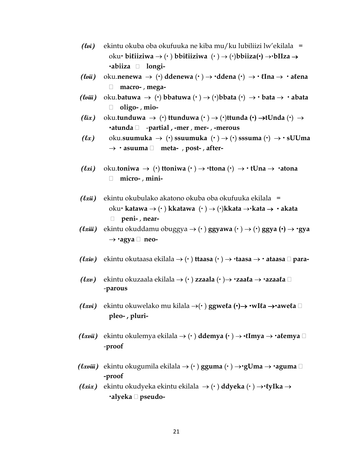- **(lvi)** ekintu okuba oba okufuuka ne kiba mu/ku lubiliizi lw'ekilala = oku **biℓiiziwa** → ( ) **bbiℓiiziwa** ( ) → ()**bbiiza()** →**bIIza** → **abiiza longi-**
- $(luii)$  oku.nenewa → (·) ddenewa (·) → ·ddena (·) → ·  $lIna \rightarrow$  · alena **macro-** , **mega-**
- **(***lwiii*) oku.batuwa → (·) bbatuwa  $(·)$  →  $(·)$  bbata  $(·)$  →  $·$  bata  $\rightarrow$   $·$  abata **oligo-** , **mio-**
- **(lix)** oku.**tunduwa** → () **ttunduwa** ( ) → ()**ttunda ()** →**tUnda** () → **atunda** -**partial , -mer** , **mer-** , **-merous**
- ( $\ell x$ ) oku.suumuka → ( $\cdot$ ) ssuumuka  $(\cdot)$  →  $(\cdot)$  sssuma  $(\cdot)$  →  $\cdot$  sUUma → **• asuuma** □ **meta-** , post-, after-
- $(lxi)$  oku.toniwa → (·) ttoniwa (·) → **·** ttona (·) → **·** tUna → · atona **micro-** , **mini-**
- **(lxii)** ekintu okubulako akatono okuba oba okufuuka ekilala = oku **katawa** → ( ) **kkatawa** ( ) → ()**kkata** →**kata** → **akata peni-** , **near-**
- **(txiii)** ekintu okuddamu obuggya → (· )  $ggyawa$  (· ) → (·)  $ggya$  (·) → ·gya → **agya □** neo-
- **(lxiv)** ekintu okutaasa ekilala → ( ) **ttaasa** ( ) → **taasa** → **ataasa para-**
- **(***txv***)** ekintu okuzaala ekilala → ( $\cdot$ ) **zzaala**  $(\cdot)$  → **zaała** → **·azaała** □ -**parous**
- **(lxvi)** ekintu okuwelako mu kilala →( ) **ggweℓa ()**→ **wIℓa** →**aweℓa pleo- , pluri-**
- **(***txvii***)** ekintu okulemya ekilala → ( $\cdot$ ) ddemya ( $\cdot$ ) →  $\cdot$ **l**mya →  $\cdot$ alemya  $\Box$ -**proof**
- **(***txviii***)** ekintu okugumila ekilala → (·) gguma (·) → · gUma → · aguma  $\Box$ **-proof**
- **(lxix)** ekintu okudyeka ekintu ekilala → ( ) **ddyeka** ( ) →**ℓyIka** → **alyeka pseudo-**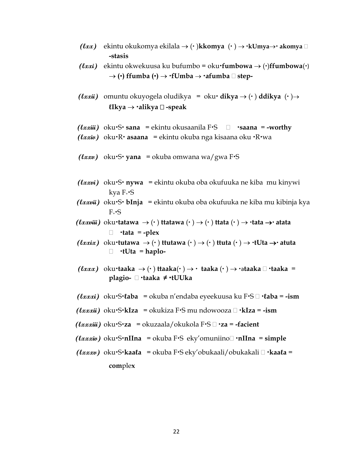- **(***txx***)** ekintu okukomya ekilala → ( · )**kkomya** ( · ) → **·kUmya→ akomya** □ **-stasis**
- **(txxi)** ekintu okwekuusa ku bufumbo = oku **fumbowa** → ( $\cdot$ )**ffumbowa** $\cdot$ )  $\rightarrow$  ( $\cdot$ ) ffumba ( $\cdot$ )  $\rightarrow$   $\cdot$ fUmba  $\rightarrow$   $\cdot$ afumba  $\Box$  step-
- **(txxii)** omuntu okuyogela oludikya = oku• dikya → (•) ddikya  $\rightarrow$ **ℓIkya** → **alikya -speak**
- **(***lxxiii***) oku·S· sana = ekintu okusaanila F·S □ · saana = -worthy**
- *(txxiv)* oku R **asaana** = ekintu okuba nga kisaana oku R wa
- $(lxxu)$  oku•S• yana = okuba omwana wa/gwa F•S
- *(txxvi)* oku·S· nywa = ekintu okuba oba okufuuka ne kiba mu kinywi kya  $F_{\ast}$ **S**
- *(txxvii)* oku·S· bInja = ekintu okuba oba okufuuka ne kiba mu kibinja kya  $F \cdot S$
- **(lxxviii)** oku**tatawa** → ( ) **ttatawa** ( ) → ( ) **ttata** ( ) → **tata** → **atata tata** = **-plex**
- $(lxxix)$  oku **tutawa** → ( ) **ttutawa** ( · ) → ( · ) **ttuta** ( · ) → **· tUta** → **atuta tUta** = **haplo-**
- **(***lxxx***)** oku·taaka → (·) ttaaka(·) → · taaka (·) → ·ataaka  $\Box$  ·taaka = **plagio- taaka ≠ tUUka**
- **(lxxxi)** okuS**ℓaba** = okuba n'endaba eyeekuusa ku FS **ℓaba** = **-ism**
- **(txxxii)** oku•S•kIza = okukiza F•S mu ndowooza □ •kIza = -ism
- **(lxxxiii)** okuS**za** = okuzaala/okukola FS **za** = **-facient**
- **(***txxxiv***) oku·S·nIIna** = okuba F·S eky'omuniino□ ·nIIna = simple
- **(lxxxv)** okuS**kaaℓa** = okuba FS eky'obukaali/obukakali **kaaℓa** = **com**ple**x**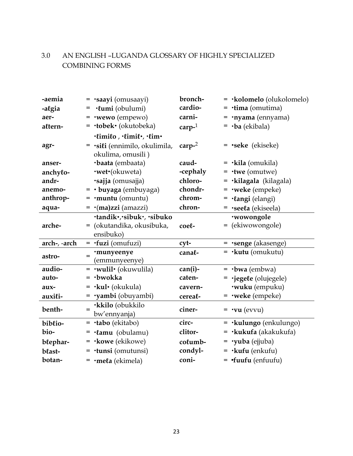## 3.0 AN ENGLISH –LUGANDA GLOSSARY OF HIGHLY SPECIALIZED COMBINING FORMS

| -aemia       | $=$ $\cdot$ saayi (omusaayi)                                | bronch-   | = <b>·kolomelo</b> (olukolomelo)       |
|--------------|-------------------------------------------------------------|-----------|----------------------------------------|
| -algia       | ·lumi (obulumi)                                             | cardio-   | $=$ $\cdot$ tima (omutima)             |
| aer-         | $=$ •wewo (empewo)                                          | carni-    | $=$ $\cdot$ nyama (ennyama)            |
| altern-      | $=$ <b><math>\cdot</math>tobek</b> $\cdot$ (okutobeka)      | $carp-1$  | $=$ $\cdot$ ba (ekibala)               |
|              | ·limilo, ·limil·, ·lim·                                     |           |                                        |
| agr-         | $=$ $\cdot$ sili (ennimilo, okulimila,<br>okulima, omusili) | carp $-2$ | <b>= •seke</b> (ekiseke)               |
| anser-       | ·baata (embaata)                                            | caud-     | $=$ $\cdot$ kila (omukila)             |
| anchylo-     | <b>·wet</b> ·(okuweta)                                      | -cephaly  | $=$ $\cdot$ twe (omutwe)               |
| andr-        | ·sajja (omusajja)                                           | chloro-   | = · kilagala (kilagala)                |
| anemo-       | $=$ • buyaga (embuyaga)                                     | chondr-   | $=$ <b>•weke</b> (empeke)              |
| anthrop-     | $=$ <b>muntu</b> (omuntu)                                   | chrom-    | $= \cdot$ langi (elangi)               |
| aqua-        | $= \cdot (ma) zzi (amazzi)$                                 | chron-    | = · see la (ekisee la)                 |
|              | ·tandik·,·sibuk·, ·sibuko                                   |           | ·wowongole                             |
| arche-       | = (okutandika, okusibuka,                                   | coel-     | = (ekiwowongole)                       |
|              | ensibuko)                                                   |           |                                        |
| arch-, -arch | $=$ $\cdot$ fuzi (omufuzi)                                  | cyt-      | $=$ •senge (akasenge)                  |
| astro-       | ·munyeenye<br>$=$<br>(emmunyeenye)                          | canal-    | $=$ $\cdot$ <b>kutu</b> (omukutu)      |
| audio-       | $=$ $\cdot$ wulil $\cdot$ (okuwulila)                       | $can(i)-$ | $=$ $\cdot$ bwa (embwa)                |
| auto-        | $=$ $\cdot$ bwokka                                          | caten-    | = ·jegele (olujegele)                  |
| aux-         | $=$ $\cdot$ kul $\cdot$ (okukula)                           | cavern-   | <b>wuku</b> (empuku)                   |
| auxili-      | $=$ $\cdot$ yambi (obuyambi)                                | cereal-   | $=$ <b>•weke</b> (empeke)              |
| benth-       | ·kkilo (obukkilo<br>$=$<br>bw'ennyanja)                     | ciner-    | $=$ $\cdot$ vu (evvu)                  |
| biblio-      | $=$ $\cdot$ tabo (ekitabo)                                  | circ-     | $=$ $\cdot$ <b>kulungo</b> (enkulungo) |
| bio-         | $= \cdot$ lamu (obulamu)                                    | clitor-   | $=$ $\cdot$ kukufa (akakukufa)         |
| blephar-     | $=$ <b>kowe</b> (ekikowe)                                   | columb-   | $=$ $\cdot$ yuba (ejjuba)              |
| blast-       | $=$ $\cdot$ tunsi (omutunsi)                                | condyl-   | $=$ $\cdot$ <b>kufu</b> (enkufu)       |
| botan-       | $=$ •mela (ekimela)                                         | coni-     | $=$ fuufu (enfuufu)                    |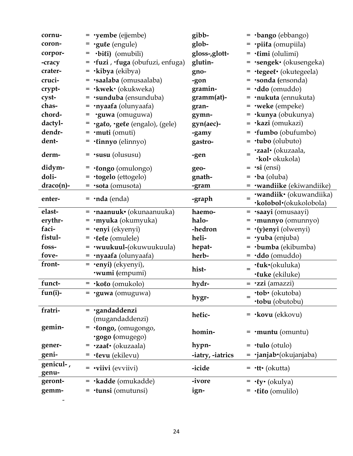| cornu-       | $=$ <b>yembe</b> (ejjembe)                       | gibb-            | $=$ $\cdot$ bango (ebbango)                              |
|--------------|--------------------------------------------------|------------------|----------------------------------------------------------|
| coron-       | $=$ ·gule (engule)                               | glob-            | $=$ $\cdot$ pii $\ell$ a (omupiila)                      |
| corpor-      | $=$ $\cdot \text{bili}$ (omubili)                | gloss-,glott-    | $=$ $\cdot$ (imi (olulimi)                               |
| -cracy       | = · fuzi , · fuga (obufuzi, enfuga)              | glutin-          | = · sengek · (okusengeka)                                |
| crater-      | $=$ $\cdot$ kibya (ekibya)                       | gno-             | = ·tegeel· (okutegeela)                                  |
| cruci-       | $=$ $\cdot$ saalaba (omusaalaba)                 | -gon             | $=$ •sonda (ensonda)                                     |
| crypt-       | $=$ <b>·kwek·</b> (okukweka)                     | gramin-          | $= \cdot d d \cdot (\text{omudd})$                       |
| cyst-        | $=$ $\cdot$ sunduba (ensunduba)                  | gramm(at)-       | $=$ <b>nukuta</b> (ennukuta)                             |
| chas-        | $=$ $\cdot$ nyaafa (olunyaafa)                   | gran-            | $=$ <b>•weke</b> (empeke)                                |
| chord-       | $=$ $\cdot$ guwa (omuguwa)                       | gymn-            | $=$ $\cdot$ kunya (obukunya)                             |
| dactyl-      | = ·gato, ·gete (engalo), (gele)                  | gyn(aec)-        | $=$ $\cdot$ <b>kazi</b> (omukazi)                        |
| dendr-       | $=$ $\cdot$ muti (omuti)                         | -gamy            | $=$ $\cdot$ fumbo (obufumbo)                             |
| dent-        | $= \cdot \mathbf{linnyo}$ (elinnyo)              | gastro-          | $=$ $\cdot$ tubo (olubuto)                               |
| derm-        | $=$ •susu (olususu)                              | -gen             | ·zaal· (okuzaala,                                        |
|              |                                                  |                  | ·kol· okukola)                                           |
| didym-       | $=$ $\cdot$ longo (omulongo)                     | geo-             | $=$ $\cdot$ si (ensi)                                    |
| doli-        | = <b>·togelo</b> (ettogelo)                      | gnath-           | $=$ $\cdot$ ba (oluba)                                   |
| $draco(n)$ - | $=$ •sota (omusota)                              | -gram            | = ·wandiike (ekiwandiike)                                |
| enter-       | $=$ <b>·nda</b> (enda)                           | -graph           | ·wandiik• (okuwandiika)<br>$=$<br>·kolobol·(okukolobola) |
| elast-       | $=$ $\cdot$ naanuuk $\cdot$ (okunaanuuka)        | haemo-           | = · saayi (omusaayi)                                     |
| erythr-      | $=$ $\cdot$ myuka (okumyuka)                     | halo-            | $=$ $\cdot$ munnyo (omunnyo)                             |
| faci-        | $=$ •enyi (ekyenyi)                              | -hedron          | $= \cdot$ (y)enyi (olwenyi)                              |
| fistul-      | $=$ $\cdot$ lele (omulele)                       | heli-            | $=$ $\cdot$ yuba (enjuba)                                |
| foss-        | $=$ •wuukuul-(okuwuukuula)                       | hepat-           | $=$ •bumba (ekibumba)                                    |
| fove-        | = <b>·nyaafa</b> (olunyaafa)                     | herb-            | $= \cdot d d \cdot (\text{omudd})$                       |
| front-       | $=$ •enyi) (ekyenyi),                            |                  | ·luk·(okuluka)                                           |
|              | <b>·wumi</b> (empumi)                            | hist-            | <b>·luke</b> (ekiluke)                                   |
| funct-       | $=$ $\cdot$ <b>koło</b> (omukolo)                | hydr-            | $=$ $\cdot$ zzi (amazzi)                                 |
| $fun(i)-$    | $=$ $\cdot$ guwa (omuguwa)                       |                  | ·tob· (okutoba)                                          |
|              |                                                  | hygr-            | ·tobu (obutobu)                                          |
| fratri-      | $=$ ·gandaddenzi<br>(mugandaddenzi)              | helic-           | $=$ <b>·kovu</b> (ekkovu)                                |
| gemin-       | $=$ $\cdot$ longo, (omugongo,<br>·gogo (omugego) | homin-           | $=$ <b>muntu</b> (omuntu)                                |
| gener-       | = $\cdot$ zaa $\cdot$ (okuzaala)                 | hypn-            | $=$ $\cdot$ tulo (otulo)                                 |
| geni-        | $=$ $\cdot$ levu (ekilevu)                       | -iatry, -iatrics | $= \cdot$ janjab $\cdot$ (okujanjaba)                    |
| genicul-,    |                                                  |                  |                                                          |
| genu-        | $=$ $\cdot$ <b>viivi</b> (evviivi)               | -icide           | $= \cdot$ tt $\cdot$ (okutta)                            |
| geront-      | $=$ <b>·kadde</b> (omukadde)                     | -ivore           | $= \cdot \ell y \cdot (\text{okulya})$                   |
| gemm-        | $=$ $\cdot$ tunsi (omutunsi)                     | ign-             | $=$ $\cdot$ <b><i>(ifo</i></b> (omulilo)                 |
|              |                                                  |                  |                                                          |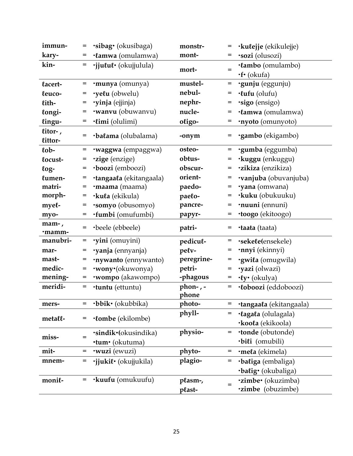| immun-             | =   | <b>sibag</b> (okusibaga)    | monstr-              | $=$ | <b>·kulejje</b> (ekikulejje)        |
|--------------------|-----|-----------------------------|----------------------|-----|-------------------------------------|
| kary-              |     | ·lamwa (omulamwa)           | mont-                |     | ·sozi (olusozi)                     |
| kin-               | $=$ | ·jjulul· (okujjulula)       |                      | $=$ | ·lambo (omulambo)                   |
|                    |     |                             | mort-                |     | $\cdot$ f $\cdot$ (okufa)           |
| lacert-            | =   | ·munya (omunya)             | mustel-              | $=$ | ·gunju (eggunju)                    |
| leuco-             | =   | ·yelu (obwelu)              | nebul-               | $=$ | ·lufu (olufu)                       |
| lith-              | =   | ·yinja (ejjinja)            | nephr-               | $=$ | ·sigo (ensigo)                      |
| longi-             | =   | <b>wanvu</b> (obuwanvu)     | nucle-               | $=$ | ·lamwa (omulamwa)                   |
| lingu-             | =   | ·limi (olulimi)             | oligo-               | =   | <b>nyoto</b> (omunyoto)             |
| litor-,<br>littor- | =   | <b>balama</b> (olubalama)   | -onym                | =   | <b>·gambo</b> (ekigambo)            |
| $\ell$ ob-         | =   | ·waggwa (empaggwa)          | osteo-               | $=$ | <b>·gumba</b> (eggumba)             |
| locust-            | =   | <b>zige</b> (enzige)        | obtus-               |     | ·kuggu (enkuggu)                    |
| $log-$             | =   | ·boozi (emboozi)            | obscur-              | =   | <i><b>zikiza</b></i> (enzikiza)     |
| lumen-             | =   | ·tangaala (ekitangaala)     | orient-              |     | vanjuba (obuvanjuba)                |
| matri-             | =   | ·maama (maama)              | paedo-               | $=$ | 'yana (omwana)                      |
| morph-             | =   | ·kula (ekikula)             | paelo-               | =   | <b>·kuku</b> (obukuuku)             |
| myel-              | =   | ·somyo (obusomyo)           | pancre-              | =   | <b>nuuni</b> (ennuni)               |
| myo-               | =   | ·fumbi (omufumbi)           | papyr-               | $=$ | <b>toogo</b> (ekitoogo)             |
|                    |     |                             |                      |     |                                     |
| mam-,<br>·mamm-    | =   | ·beele (ebbeele)            | patri-               | $=$ | <b>·taata</b> (taata)               |
| manubri-           | $=$ | ·yini (omuyini)             | pedicul-             | $=$ | ·sekele(ensekele)                   |
| mar-               | =   | ·yanja (ennyanja)           | pelv-                | =   | <b>·nnyi</b> (ekinnyi)              |
| mast-              | =   | <b>nywanto</b> (ennywanto)  | peregrine-           | =   | ·gwila (omugwila)                   |
| medic-             | $=$ | ·wony·(okuwonya)            | petri-               | $=$ | ·yazi (olwazi)                      |
| mening-            | =   | <b>·wompo</b> (akawompo)    | -phagous             | =   | · <i>ty</i> • (okulya)              |
| meridi-            | $=$ | <b>·tuntu</b> (ettuntu)     | phon- $, -$<br>phone | $=$ | <b>·</b> <i>toboozi</i> (eddoboozi) |
| mers-              | =   | ·bbik· (okubbika)           | photo-               | $=$ | <b>tangaala</b> (ekitangaala)       |
|                    |     |                             | phyll-               | =   | ·lagala (olulagala)                 |
| metall-            | =   | <b>·tombe</b> (ekilombe)    |                      |     | <b>·koola</b> (ekikoola)            |
|                    |     | <b>.sindik</b> (okusindika) | physio-              | $=$ | <b>tonde</b> (obutonde)             |
| miss-              | $=$ | <b>·tum</b> (okutuma)       |                      |     | ·bili (omubili)                     |
| mit-               | =   | <b>wuzi</b> (ewuzi)         | phyto-               | $=$ | ·mela (ekimela)                     |
| mnem-              | =   | ·jjukil· (okujjukila)       | plagio-              | $=$ | ·baliga (embaliga)                  |
|                    |     |                             |                      |     | ·balig· (okubaliga)                 |
| monil-             | =   | <b>·kuufu</b> (omukuufu)    | plasm-,              |     | <b>'zimbe'</b> (okuzimba)           |
|                    |     |                             | plast-               | $=$ | 'zimbe (obuzimbe)                   |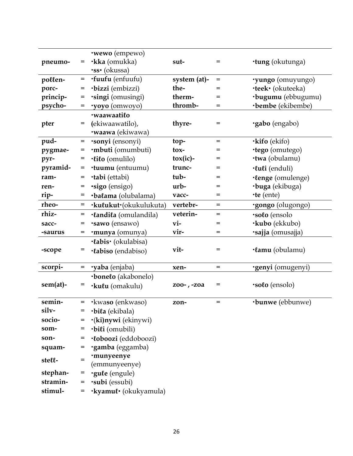|             |     | <b>wewo</b> (empewo)                |                    |     |                           |
|-------------|-----|-------------------------------------|--------------------|-----|---------------------------|
| pneumo-     | =   | <b>·kka</b> (omukka)                | sut-               | $=$ | <b>tung</b> (okutunga)    |
|             |     | <b>SS</b> (okussa)                  |                    |     |                           |
| pollen-     | =   | <b>fuufu</b> (enfuufu)              | system (at)-       | $=$ | <b>yungo</b> (omuyungo)   |
| porc-       | =   | ·bizzi (embizzi)                    | the-               | $=$ | <b>·teek</b> · (okuteeka) |
| princip-    | =   | ·singi (omusingi)                   | therm-             | =   | ·bugumu (ebbugumu)        |
| psycho-     |     | 'yoyo (omwoyo)                      | thromb-            | $=$ | <b>·bembe</b> (ekibembe)  |
|             |     | ·waawaatilo                         |                    |     |                           |
| pter        | $=$ | (ekiwaawatilo),                     | thyre-             | $=$ | ·gabo (engabo)            |
|             |     | <b>·waawa</b> (ekiwawa)             |                    |     |                           |
| pud-        | $=$ | <b>·sonyi</b> (ensonyi)             | top-               | $=$ | <b>·kifo</b> (ekifo)      |
| pygmae-     | =   | ·mbuti (omumbuti)                   | tox-               | $=$ | ·tego (omutego)           |
| pyr-        | =   | $\cdot$ lilo (omulilo)              | $\text{tox}$ (ic)- | $=$ | <b>·twa</b> (obulamu)     |
| pyramid-    | $=$ | <b>tuumu</b> (entuumu)              | trunc-             | $=$ | ·luli (enduli)            |
| ram-        | =   | <b>tabi</b> (ettabi)                | tub-               |     | ·lenge (omulenge)         |
| ren-        | =   | ·sigo (ensigo)                      | $urb-$             | =   | <b>buga</b> (ekibuga)     |
| rip-        | =   | ·balama (olubalama)                 | vacc-              | $=$ | $\cdot$ te (ente)         |
| rheo-       | $=$ | ·kulukut·(okukulukuta)              | vertebr-           | $=$ | ·gongo (olugongo)         |
| rhiz-       | =   | ·landila (omulandila)               | veterin-           | $=$ | ·solo (ensolo             |
| sacc-       | $=$ | ·sawo (ensawo)                      | vi-                | $=$ | <b>·kubo</b> (ekkubo)     |
| -saurus     | =   | ·munya (omunya)                     | vir-               | $=$ | ·sajja (omusajja)         |
|             |     | ·labis· (okulabisa)                 |                    |     |                           |
| -scope      | =   | <b>·labiso</b> (endabiso)           | vit-               | $=$ | <b>·lamu</b> (obulamu)    |
|             |     |                                     |                    |     |                           |
| scorpi-     | =   | <b>·yaba</b> (enjaba)               | xen-               | $=$ | <b>·genyi</b> (omugenyi)  |
|             |     | <b>boneto</b> (akabonelo)           |                    |     |                           |
| $sem(at)$ - | =   | ·kulu (omakulu)                     | zoo-, -zoa         | $=$ | <b>solo</b> (ensolo)      |
|             |     |                                     |                    |     |                           |
| semin-      | $=$ | <b>·</b> kwaso (enkwaso)            | zon-               | $=$ | <b>bunwe</b> (ebbunwe)    |
| silv-       |     | ·bila (ekibala)                     |                    |     |                           |
| socio-      |     | ·(ki)nywi (ekinywi)                 |                    |     |                           |
| som-        |     | ·bili (omubili)                     |                    |     |                           |
| son-        |     | <b>·</b> <i>toboozi</i> (eddoboozi) |                    |     |                           |
| squam-      | =   | ·gamba (eggamba)                    |                    |     |                           |
| stell-      | $=$ | ·munyeenye                          |                    |     |                           |
|             |     | (emmunyeenye)                       |                    |     |                           |
| stephan-    | =   | ·gule (engule)                      |                    |     |                           |
| stramin-    |     | $=$ $\cdot \text{subi}$ (essubi)    |                    |     |                           |
| stimul-     | $=$ | ·kyamul· (okukyamula)               |                    |     |                           |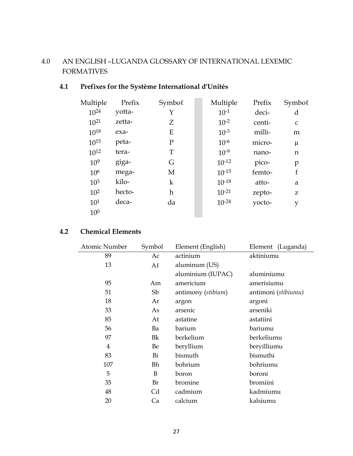## 4.0 AN ENGLISH –LUGANDA GLOSSARY OF INTERNATIONAL LEXEMIC FORMATIVES

## **4.1 Prefixes for the Système International d'Unités**

| Multiple        | Prefix | Symbol      | Multiple   | Prefix | Symbol       |
|-----------------|--------|-------------|------------|--------|--------------|
| $10^{24}$       | yotta- | Y           | $10^{-1}$  | deci-  | d            |
| $10^{21}$       | zetta- | Ζ           | $10^{-2}$  | centi- | $\mathsf{C}$ |
| $10^{18}$       | exa-   | E           | $10^{-3}$  | milli- | m            |
| $10^{15}$       | peta-  | $\mathbf P$ | $10^{-6}$  | micro- | μ            |
| $10^{12}$       | tera-  | T           | $10^{-9}$  | nano-  | n            |
| $10^{9}$        | giga-  | G           | $10^{-12}$ | pico-  | p            |
| 10 <sup>6</sup> | mega-  | M           | $10^{-15}$ | femto- | $\mathbf f$  |
| 10 <sup>3</sup> | kilo-  | k           | $10^{-18}$ | atto-  | a            |
| $10^{2}$        | hecto- | h           | $10^{-21}$ | zepto- | Z            |
| $10^{1}$        | deca-  | da          | $10^{-24}$ | yocto- | y            |
| 10 <sup>0</sup> |        |             |            |        |              |
|                 |        |             |            |        |              |

## **4.2 Chemical Elements**

| Atomic Number  | Symbol  | Element (English)  | Element (Luganda)   |
|----------------|---------|--------------------|---------------------|
| 89             | Ac      | actinium           | aktiniumu           |
| 13             | $A\ell$ | aluminum (US)      |                     |
|                |         | aluminium (IUPAC)  | aluminiumu          |
| 95             | Am      | americium          | amerisiumu          |
| 51             | Sb      | antimony (stibium) | antimoni (stibiumu) |
| 18             | Ar      | argon              | argoni              |
| 33             | As      | arsenic            | arseniki            |
| 85             | At      | astatine           | astatiini           |
| 56             | Ba      | barium             | bariumu             |
| 97             | Bk      | berkelium          | berkeliumu          |
| $\overline{4}$ | Be      | beryllium          | beryilliumu         |
| 83             | Bi      | bismuth            | bismuthi            |
| 107            | Bh      | bohrium            | bohriumu            |
| 5              | B       | boron              | boroni              |
| 35             | Br      | bromine            | bromiini            |
| 48             | Cd      | cadmium            | kadmiumu            |
| 20             | Ca      | calcium            | kalsiumu            |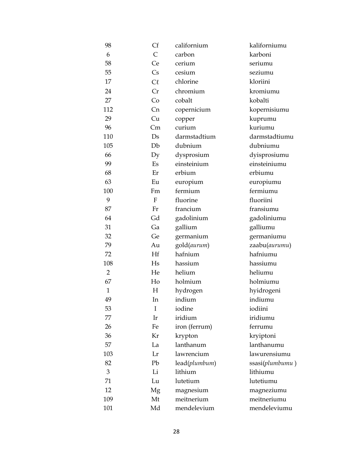| 98             | Cf                     | californium   | kaliforniumu    |
|----------------|------------------------|---------------|-----------------|
| 6              | $\overline{C}$         | carbon        | karboni         |
| 58             | Ce                     | cerium        | seriumu         |
| 55             | $\mathsf{C}\mathsf{s}$ | cesium        | seziumu         |
| 17             | $C\ell$                | chlorine      | kloriini        |
| 24             | Cr                     | chromium      | kromiumu        |
| 27             | Co                     | cobalt        | kobalti         |
| 112            | Cn                     | copernicium   | kopernisiumu    |
| 29             | Cu                     | copper        | kuprumu         |
| 96             | Cm                     | curium        | kuriumu         |
| 110            | Ds                     | darmstadtium  | darmstadtiumu   |
| 105            | Db                     | dubnium       | dubniumu        |
| 66             | Dy                     | dysprosium    | dyisprosiumu    |
| 99             | Es                     | einsteinium   | einsteiniumu    |
| 68             | Er                     | erbium        | erbiumu         |
| 63             | Eu                     | europium      | europiumu       |
| 100            | Fm                     | fermium       | fermiumu        |
| 9              | $\mathbf{F}$           | fluorine      | fluoriini       |
| 87             | Fr                     | francium      | fransiumu       |
| 64             | Gd                     | gadolinium    | gadoliniumu     |
| 31             | Ga                     | gallium       | galliumu        |
| 32             | Ge                     | germanium     | germaniumu      |
| 79             | Au                     | gold(aurum)   | zaabu(aurumu)   |
| 72             | Hf                     | hafnium       | hafniumu        |
| 108            | Hs                     | hassium       | hassiumu        |
| $\overline{2}$ | He                     | helium        | heliumu         |
| 67             | Ho                     | holmium       | holmiumu        |
| $\mathbf{1}$   | H                      | hydrogen      | hyidrogeni      |
| 49             | In                     | indium        | indiumu         |
| 53             | I                      | iodine        | iodiini         |
| 77             | Ir                     | iridium       | iridiumu        |
| 26             | Fe                     | iron (ferrum) | ferrumu         |
| 36             | Kr                     | krypton       | kryiptoni       |
| 57             | La                     | lanthanum     | lanthanumu      |
| 103            | Lr                     | lawrencium    | lawurensiumu    |
| 82             | Pb                     | lead(plumbum) | ssasi(plumbumu) |
| 3              | Li                     | lithium       | lithiumu        |
| 71             | Lu                     | lutetium      | lutetiumu       |
| 12             | Mg                     | magnesium     | magneziumu      |
| 109            | Mt                     | meitnerium    | meitneriumu     |
| 101            | Md                     | mendelevium   | mendeleviumu    |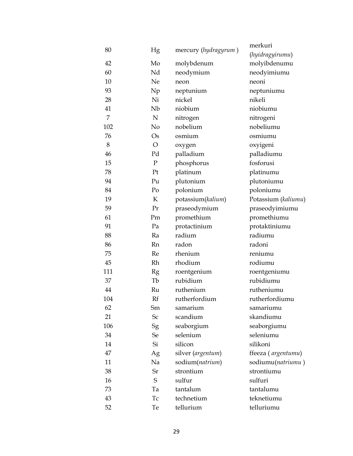| 80             | Hg             | mercury (hydragyrum) | merkuri             |
|----------------|----------------|----------------------|---------------------|
|                |                |                      | (hyidragyirumu)     |
| 42             | Mo             | molybdenum           | molyibdenumu        |
| 60             | Nd             | neodymium            | neodyimiumu         |
| 10             | Ne             | neon                 | neoni               |
| 93             | Np             | neptunium            | neptuniumu          |
| 28             | Ni             | nickel               | nikeli              |
| 41             | Nb             | niobium              | niobiumu            |
| $\overline{7}$ | $\mathbf N$    | nitrogen             | nitrogeni           |
| 102            | No             | nobelium             | nobeliumu           |
| 76             | $\mathrm{Os}$  | osmium               | osmiumu             |
| 8              | $\overline{O}$ | oxygen               | oxyigeni            |
| 46             | Pd             | palladium            | palladiumu          |
| 15             | $\mathbf P$    | phosphorus           | fosforusi           |
| 78             | Pt             | platinum             | platinumu           |
| 94             | Pu             | plutonium            | plutoniumu          |
| 84             | Po             | polonium             | poloniumu           |
| 19             | K              | potassium(kalium)    | Potassium (kaliumu) |
| 59             | Pr             | praseodymium         | praseodyimiumu      |
| 61             | Pm             | promethium           | promethiumu         |
| 91             | Pa             | protactinium         | protaktiniumu       |
| 88             | Ra             | radium               | radiumu             |
| 86             | <b>Rn</b>      | radon                | radoni              |
| 75             | Re             | rhenium              | reniumu             |
| 45             | Rh             | rhodium              | rodiumu             |
| 111            | Rg             | roentgenium          | roentgeniumu        |
| 37             | Tb             | rubidium             | rubidiumu           |
| 44             | Ru             | ruthenium            | rutheniumu          |
| 104            | Rf             | rutherfordium        | rutherfordiumu      |
| 62             | Sm             | samarium             | samariumu           |
| 21             | Sc             | scandium             | skandiumu           |
| 106            | Sg             | seaborgium           | seaborgiumu         |
| 34             | Se             | selenium             | seleniumu           |
| 14             | Si             | silicon              | silikoni            |
| 47             | Ag             | silver (argentum)    | ffeeza (argentumu)  |
| 11             | Na             | sodium(natrium)      | sodiumu(natriumu)   |
| 38             | Sr             | strontium            | strontiumu          |
| 16             | S              | sulfur               | sulfuri             |
| 73             | Ta             | tantalum             | tantalumu           |
| 43             | Tc             | technetium           | teknetiumu          |
| 52             | Te             | tellurium            | telluriumu          |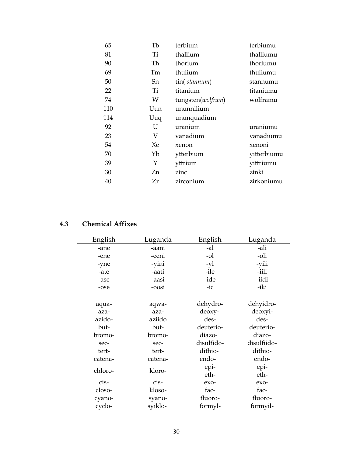| 65  | Tb  | terbium           | terbiumu    |
|-----|-----|-------------------|-------------|
| 81  | Ti  | thallium          | thalliumu   |
| 90  | Th  | thorium           | thoriumu    |
| 69  | Tm  | thulium           | thuliumu    |
| 50  | Sn  | tin(stannum)      | stannumu    |
| 22  | Ti  | titanium          | titaniumu   |
| 74  | W   | tungsten(wolfram) | wolframu    |
| 110 | Uun | ununnilium        |             |
| 114 | Uuq | ununquadium       |             |
| 92  | U   | uranium           | uraniumu    |
| 23  | V   | vanadium          | vanadiumu   |
| 54  | Xe  | xenon             | xenoni      |
| 70  | Yb  | ytterbium         | yitterbiumu |
| 39  | Y   | yttrium           | yittriumu   |
| 30  | Zn  | zinc              | zinki       |
| 40  | Zr  | zirconium         | zirkoniumu  |

## **4.3 Chemical Affixes**

| English | Luganda | English    | Luganda     |
|---------|---------|------------|-------------|
| -ane    | -aani   | -al        | -ali        |
| -ene    | -eeni   | -ol        | -oli        |
| -yne    | -yini   | -yl        | -yili       |
| -ate    | -aati   | -ile       | -iili       |
| -ase    | -aasi   | -ide       | -iidi       |
| -ose    | -oosi   | $-ic$      | -iki        |
|         |         |            |             |
| aqua-   | aqwa-   | dehydro-   | dehyidro-   |
| aza-    | aza-    | deoxy-     | deoxyi-     |
| azido-  | aziido  | des-       | des-        |
| but-    | but-    | deuterio-  | deuterio-   |
| bromo-  | bromo-  | diazo-     | diazo-      |
| sec-    | sec-    | disulfido- | disulfiido- |
| tert-   | tert-   | dithio-    | dithio-     |
| catena- | catena- | endo-      | endo-       |
| chloro- | kloro-  | epi-       | epi-        |
|         |         | eth-       | eth-        |
| cis-    | cis-    | exo-       | exo-        |
| closo-  | kloso-  | fac-       | fac-        |
| cyano-  | syano-  | fluoro-    | fluoro-     |
| cyclo-  | syiklo- | formyl-    | formyil-    |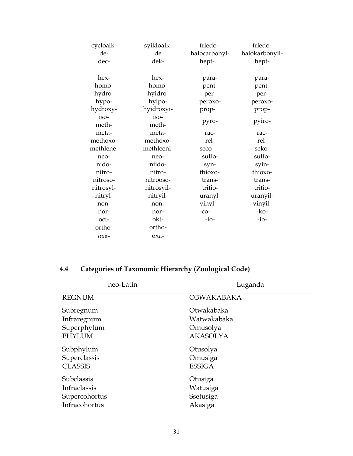| cycloalk-     | syikloalk-    | friedo-       | friedo-        |
|---------------|---------------|---------------|----------------|
| de-           | de            | halocarbonyl- | halokarbonyil- |
| dec-          | dek-          | hept-         | hept-          |
| hex-          | hex-          | para-         | para-          |
| homo-         | homo-         | pent-         | pent-          |
| hydro-        | hyidro-       | per-          | per-           |
| hypo-         | hyipo-        | peroxo-       | peroxo-        |
| hydroxy-      | hyidroxyi-    | prop-         | prop-          |
| iso-<br>meth- | iso-<br>meth- | pyro-         | pyiro-         |
| meta-         | meta-         | rac-          | rac-           |
| methoxo-      | methoxo-      | rel-          | rel-           |
| methlene-     | methleeni-    | seco-         | seko-          |
| neo-          | neo-          | sulfo-        | sulfo-         |
| nido-         | niido-        | syn-          | syin-          |
| nitro-        | nitro-        | thioxo-       | thioxo-        |
| nitroso-      | nitrooso-     | trans-        | trans-         |
| nitrosyl-     | nitrosyil-    | tritio-       | tritio-        |
| nitryl-       | nitryil-      | uranyl-       | uranyil-       |
| non-          | non-          | vinyl-        | vinyil-        |
| nor-          | nor-          | $-CO-$        | $-ko-$         |
| oct-          | okt-          | $-i$ o-       | $-i$ o-        |
| ortho-        | ortho-        |               |                |
| oxa-          | $oxa-$        |               |                |
|               |               |               |                |

# **4.4 Categories of Taxonomic Hierarchy (Zoological Code)**

| neo-Latin         | Luganda           |
|-------------------|-------------------|
| <b>REGNUM</b>     | <b>OBWAKABAKA</b> |
| Subregnum         | Otwakabaka        |
| Infraregnum       | Watwakabaka       |
| Superphylum       | Omusolya          |
| <b>PHYLUM</b>     | <b>AKASOLYA</b>   |
| Subphylum         | Otusolya          |
| Superclassis      | Omusiga           |
| <b>CLASSIS</b>    | <b>ESSIGA</b>     |
| <b>Subclassis</b> | Otusiga           |
| Infraclassis      | Watusiga          |
| Supercohortus     | Ssetusiga         |
| Infracohortus     | Akasiga           |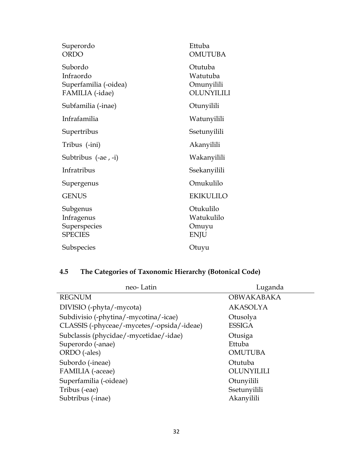| Superordo<br><b>ORDO</b>                                         | Ettuba<br><b>OMUTUBA</b>                        |
|------------------------------------------------------------------|-------------------------------------------------|
| Subordo<br>Infraordo<br>Superfamilia (-oidea)<br>FAMILIA (-idae) | Otutuba<br>Watutuba<br>Omunyilili<br>OLUNYILILI |
| Subfamilia (-inae)                                               | Otunyilili                                      |
| Infrafamilia                                                     | Watunyilili                                     |
| Supertribus                                                      | Ssetunyilili                                    |
| Tribus (-ini)                                                    | Akanyilili                                      |
| Subtribus (-ae, -i)                                              | Wakanyilili                                     |
| Infratribus                                                      | Ssekanyilili                                    |
| Supergenus                                                       | Omukulilo                                       |
| <b>GENUS</b>                                                     | <b>EKIKULILO</b>                                |
| Subgenus<br>Infragenus<br>Superspecies<br><b>SPECIES</b>         | Otukulilo<br>Watukulilo<br>Omuyu<br><b>ENJU</b> |
| Subspecies                                                       | Otuyu                                           |

# **4.5 The Categories of Taxonomic Hierarchy (Botonical Code)**

| neo-Latin                                  | Luganda           |
|--------------------------------------------|-------------------|
| <b>REGNUM</b>                              | <b>OBWAKABAKA</b> |
| DIVISIO (-phyta/-mycota)                   | <b>AKASOLYA</b>   |
| Subdivisio (-phytina/-mycotina/-icae)      | Otusolya          |
| CLASSIS (-phyceae/-mycetes/-opsida/-ideae) | <b>ESSIGA</b>     |
| Subclassis (phycidae/-mycetidae/-idae)     | Otusiga           |
| Superordo (-anae)                          | Ettuba            |
| ORDO (-ales)                               | <b>OMUTUBA</b>    |
| Subordo (-ineae)                           | Otutuba           |
| FAMILIA (-aceae)                           | OLUNYILILI        |
| Superfamilia (-oideae)                     | Otunyilili        |
| Tribus (-eae)                              | Ssetunyilili      |
| Subtribus (-inae)                          | Akanyilili        |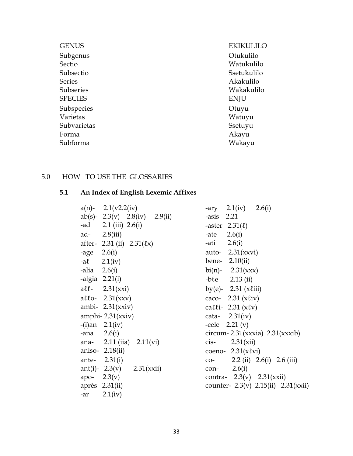| <b>GENUS</b>   | <b>EKIKULILO</b> |
|----------------|------------------|
| Subgenus       | Otukulilo        |
| Sectio         | Watukulilo       |
| Subsectio      | Ssetukulilo      |
| <b>Series</b>  | Akakulilo        |
| Subseries      | Wakakulilo       |
| <b>SPECIES</b> | <b>ENJU</b>      |
| Subspecies     | Otuyu            |
| Varietas       | Watuyu           |
| Subvarietas    | Ssetuyu          |
| Forma          | Akayu            |
| Subforma       | Wakayu           |

## 5.0 HOW TO USE THE GLOSSARIES

# **5.1 An Index of English Lexemic Affixes**

|                 | $a(n)$ - 2.1(v2.2(iv)         | $-ary$ 2.1(iv)<br>2.6(i)                  |
|-----------------|-------------------------------|-------------------------------------------|
|                 | ab(s)- 2.3(v) 2.8(iv) 2.9(ii) | $-axis$ 2.21                              |
|                 | -ad 2.1 (iii) $2.6(i)$        | -aster $2.31(\ell)$                       |
|                 | ad- $2.8(iii)$                | 2.6(i)<br>-ate                            |
|                 | after- 2.31 (ii) $2.31(kx)$   | 2.6(i)<br>-ati                            |
| $-age \ 2.6(i)$ |                               | auto- $2.31(xxvi)$                        |
|                 | $-a\ell$ 2.1(iv)              | bene- $2.10(ii)$                          |
| -alia $2.6(i)$  |                               | $\text{bi}(n)$ - 2.31(xxx)                |
|                 | -algia $2.21(i)$              | $-b\ell e$ 2.13 (ii)                      |
|                 | $\text{all}$ - 2.31(xxi)      | by(e)- 2.31 $(xliii)$                     |
|                 | allo- $2.31(xxy)$             | caco- $2.31 (x \ell iv)$                  |
|                 | ambi- $2.31(xxiv)$            | calli- 2.31 $(x \ell v)$                  |
|                 | amphi- $2.31(xxiv)$           | cata- $2.31(iv)$                          |
|                 | $-(i)$ an 2.1(iv)             | $-$ cele 2.21 (v)                         |
| -ana $2.6(i)$   |                               | circum-2.31(xxxia) $2.31(xxxi)$           |
|                 | ana- 2.11 (iia) $2.11$ (vi)   | 2.31(xii)<br>cis-                         |
|                 | aniso- $2.18(ii)$             | coeno- $2.31(x \ell vi)$                  |
|                 | ante- $2.31(i)$               | 2.2 (ii) 2.6(i) 2.6 (iii)<br>$CO-$        |
|                 | ant(i)- 2.3(v) 2.31(xxii)     | con- $2.6(i)$                             |
| apo- $2.3(v)$   |                               | contra- $2.3(v)$ $2.31(xxii)$             |
|                 | après $2.31(ii)$              | counter- $2.3(v)$ $2.15(ii)$ $2.31(xxii)$ |
| -ar             | 2.1(iv)                       |                                           |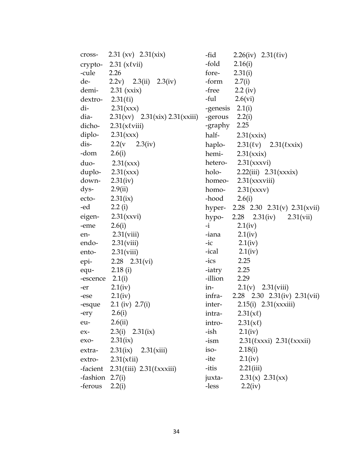|                    | cross- 2.31 (xv) $2.31(xix)$                         | -fid<br>2.26(iv) 2.31( $\ell$ iv)       |
|--------------------|------------------------------------------------------|-----------------------------------------|
|                    | crypto- $2.31$ (x $\ell$ vii)                        | -fold<br>2.16(i)                        |
| -cule              | 2.26                                                 | fore-<br>2.31(i)                        |
| de-                | 2.2v) $2.3(ii)$ $2.3(iv)$                            | -form<br>2.7(i)                         |
|                    | demi- $2.31$ (xxix)                                  | -free<br>$2.2 \text{ (iv)}$             |
| $dextro- 2.31(li)$ |                                                      | -ful<br>2.6(vi)                         |
| di-                | 2.31(xxx)                                            | -genesis $2.1(i)$                       |
| dia-               | 2.31(xv) 2.31(xix) 2.31(xxiii)                       | -gerous $2.2(i)$                        |
|                    | dicho- $2.31(x \ell viii)$                           | -graphy 2.25                            |
|                    | diplo- $2.31(xxx)$                                   | half- $2.31(xxix)$                      |
| dis-               | $2.2(v - 2.3(iv))$                                   | haplo- $2.31(\ell v)$ $2.31(\ell x x)x$ |
| -dom               | 2.6(i)                                               | hemi- $2.31(xxix)$                      |
| duo-               | 2.31(xxx)                                            | hetero- 2.31(xxxvi)                     |
|                    | duplo- $2.31(xxx)$                                   | 2.22(iii) $2.31(xxx)$<br>holo-          |
| down-              | 2.31(iv)                                             | homeo- $2.31(xxxviii)$                  |
| dys-               | 2.9(ii)                                              | homo-<br>2.31(xxxv)                     |
| ecto-              | 2.31(ix)                                             | 2.6(i)<br>-hood                         |
| -ed                | 2.2 $(i)$                                            | hyper- 2.28 2.30 2.31(v) 2.31(xvii)     |
|                    | eigen- $2.31(xxvi)$                                  | hypo-<br>2.28 2.31(iv) 2.31(vii)        |
| -eme               | 2.6(i)                                               | $-i$<br>2.1(iv)                         |
| en-                | 2.31(viii)                                           | 2.1(iv)<br>-iana                        |
| endo-              | 2.31(viii)                                           | 2.1(iv)<br>$-ic$                        |
| ento-              | 2.31(viii)                                           | $-ical$ 2.1(iv)                         |
| epi-               | $2.28$ $2.31(vi)$                                    | 2.25<br>$-icos$                         |
| equ-               | 2.18(i)                                              | 2.25<br>-iatry                          |
| -escence           | 2.1(i)                                               | -illion<br>2.29                         |
| -er                | 2.1(iv)                                              | in-<br>$2.1(v)$ $2.31(viii)$            |
| -ese               | 2.1(iv)                                              | infra-<br>2.28 2.30 2.31(iv) 2.31(vii)  |
| -esque             | 2.1 (iv) 2.7(i)                                      | $2.15(i)$ $2.31(xxxiii)$<br>inter-      |
| -ery               | 2.6(i)                                               | $2.31(x\ell)$<br>intra-                 |
| eu-                | 2.6(ii)                                              | $2.31(x\ell)$<br>intro-                 |
| $ex-$              | 2.3(i) $2.31(ix)$                                    | -ish<br>2.1(iv)                         |
| exo-               | 2.31(ix)                                             | 2.31(kxx) 2.31(kxx)<br>-ism             |
| extra-             | $2.31(ix)$ $2.31(xiii)$                              | iso-<br>2.18(i)                         |
| extro-             | 2.31(x(i))                                           | -ite<br>2.1(iv)                         |
|                    | -facient $2.31$ ( $\ell$ iii) $2.31$ ( $\ell$ xxiii) | 2.21(iii)<br>-itis                      |
| -fashion 2.7(i)    |                                                      | 2.31(x) 2.31(xx)<br>juxta-              |
| -ferous            | 2.2(i)                                               | -less<br>2.2(iv)                        |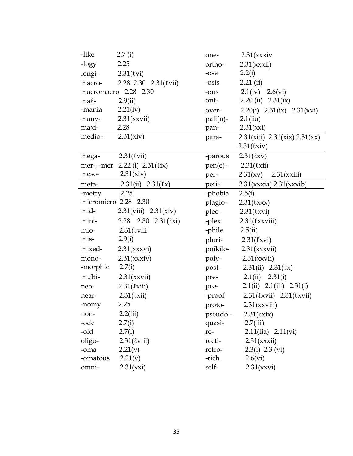| -like      | 2.7(i)                                    | one-     | 2.31(xxxiv)                                 |
|------------|-------------------------------------------|----------|---------------------------------------------|
| -logy      | 2.25                                      | ortho-   | 2.31(xxxii)                                 |
| longi-     | $2.31$ ( $\ell$ vi)                       | -ose     | 2.2(i)                                      |
| macro-     | $2.28$ $2.30$ $2.31$ ( <i>tvii</i> )      | -osis    | $2.21$ (ii)                                 |
|            | macromacro 2.28 2.30                      | -ous     | $2.1(iv)$ $2.6(vi)$                         |
| $ma\ell$ - | 2.9(ii)                                   | out-     | $2.20$ (ii) $2.31$ (ix)                     |
| -mania     | 2.21(iv)                                  | over-    | 2.20(i) $2.31(ix)$ 2.31(xvi)                |
| many-      | 2.31(xxvii)                               | pali(n)- | 2.1(iia)                                    |
| maxi-      | 2.28                                      | pan-     | 2.31(xxi)                                   |
| medio-     | 2.31(xiv)                                 | para-    | 2.31(xiii) 2.31(xix) 2.31(xx)               |
|            |                                           |          | 2.31(kxiv)                                  |
| mega-      | $2.31$ ( $\ell$ vii)                      | -parous  | $2.31$ ( $\ell$ xv)                         |
|            | mer-, -mer $2.22$ (i) $2.31$ ( $\ell$ ix) | pen(e)-  | 2.31(kxii)                                  |
| meso-      | 2.31(xiv)                                 | per-     | 2.31(xv)<br>2.31(xxiii)                     |
| meta-      | 2.31(ii) $2.31(kx)$                       | peri-    | $2.31(xxxia)$ $2.31(xxxib)$                 |
| -metry     | 2.25                                      | -phobia  | 2.5(i)                                      |
|            | micromicro 2.28 2.30                      | plagio-  | 2.31(kxxx)                                  |
| mid-       | $2.31(viii)$ $2.31(xiv)$                  | pleo-    | $2.31$ ( $\ell$ xvi)                        |
| mini-      | 2.28 2.30 2.31( $\ell$ xi)                | -plex    | $2.31$ ( $\ell$ xxviii)                     |
| mio-       | $2.31$ ( $\ell$ viii                      | -phile   | 2.5(ii)                                     |
| mis-       | 2.9(i)                                    |          | pluri- $2.31$ ( $\ell$ xvi)                 |
| mixed-     | 2.31(xxxvi)                               | poikilo- | 2.31(xxxvii)                                |
| mono-      | 2.31(xxxiv)                               | poly-    | 2.31(xxvii)                                 |
| -morphic   | 2.7(i)                                    | post-    | 2.31(ii) $2.31(kx)$                         |
| multi-     | 2.31(xxvii)                               | pre-     | 2.1(ii) $2.31(i)$                           |
| neo-       | 2.31(kxiii)                               | pro-     | 2.1(ii) 2.1(iii) 2.31(i)                    |
| near-      | 2.31(kxii)                                | -proof   | $2.31$ ( $\ell$ xvii) $2.31$ ( $\ell$ xvii) |
| -nomy      | 2.25                                      | proto-   | 2.31(xxviii)                                |
| non-       | 2.2(iii)                                  |          | pseudo - $2.31$ ( $\ell$ xix)               |
| -ode       | 2.7(i)                                    | quasi-   | 2.7(iii)                                    |
| -oid       | 2.7(i)                                    | re-      | $2.11(iia)$ $2.11(vi)$                      |
| oligo-     | $2.31$ ( $\ell$ viii)                     | recti-   | 2.31(xxxii)                                 |
| -oma       | 2.21(v)                                   | retro-   | 2.3(i) 2.3 (vi)                             |
| -omatous   | 2.21(v)                                   | -rich    | 2.6(vi)                                     |
| omni-      | 2.31(xxi)                                 | self-    | 2.31(xxvi)                                  |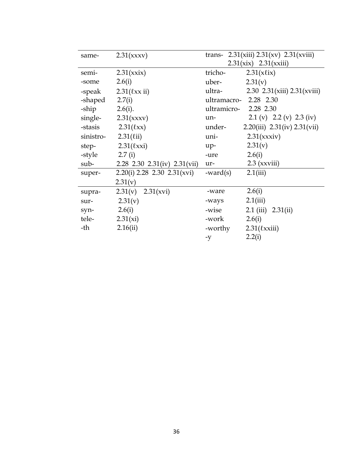| same-     | 2.31(xxxv)                    | trans- 2.31(xiii) $2.31(xv)$ 2.31(xviii) |
|-----------|-------------------------------|------------------------------------------|
|           |                               | $2.31(xix)$ $2.31(xxiii)$                |
| semi-     | 2.31(xxix)                    | tricho-<br>$2.31(x \ell ix)$             |
| -some     | 2.6(i)                        | 2.31(v)<br>uber-                         |
| -speak    | $2.31$ ( $\ell$ xx ii)        | ultra-<br>2.30 2.31(xiii) $2.31(xiii)$   |
| -shaped   | 2.7(i)                        | ultramacro- 2.28 2.30                    |
| -ship     | 2.6(i).                       | ultramicro-<br>2.28 2.30                 |
| single-   | 2.31(xxxv)                    | 2.1 (v) 2.2 (v) 2.3 (iv)<br>un-          |
| -stasis   | 2.31(kxx)                     | 2.20(iii) $2.31(iv) 2.31(vii)$<br>under- |
| sinistro- | 2.31(iii)                     | 2.31(xxxiv)<br>uni-                      |
| step-     | 2.31(kx)                      | 2.31(v)<br>$up-$                         |
| -style    | 2.7(i)                        | 2.6(i)<br>-ure                           |
| sub-      | 2.28 2.30 2.31(iv) 2.31(vii)  | $2.3$ (xxviii)<br>ur-                    |
| super-    | $2.20(i)$ 2.28 2.30 2.31(xvi) | 2.1(iii)<br>-ward $(s)$                  |
|           | 2.31(v)                       |                                          |
| supra-    | $2.31(v)$ $2.31(xvi)$         | 2.6(i)<br>-ware                          |
| sur-      | 2.31(v)                       | 2.1(iii)<br>-ways                        |
| syn-      | 2.6(i)                        | $2.1$ (iii) $2.31$ (ii)<br>-wise         |
| tele-     | 2.31(xi)                      | 2.6(i)<br>-work                          |
| -th       | 2.16(ii)                      | -worthy<br>$2.31$ ( $\ell$ xxiii)        |
|           |                               | 2.2(i)<br>-y                             |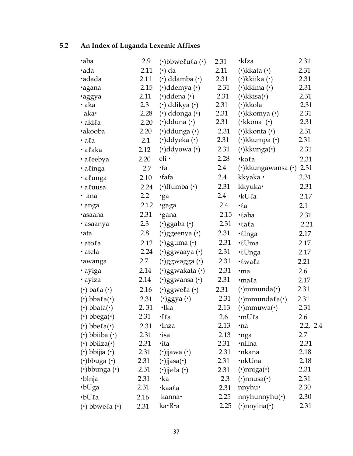# **5.2 An Index of Luganda Lexemic Affixes**

| ·aba                                                    | 2.9     | $\cdot$ bbwelula $\cdot$                         | 2.31 | •kIza                               | 2.31     |
|---------------------------------------------------------|---------|--------------------------------------------------|------|-------------------------------------|----------|
| ·ada                                                    | 2.11    | $(\cdot)$ da                                     | 2.11 | $(\cdot)$ kkata $(\cdot)$           | 2.31     |
| ·adada                                                  | 2.11    | $\left(\cdot\right)$ ddamba $\left(\cdot\right)$ | 2.31 | $(\cdot)$ kkiika $(\cdot)$          | 2.31     |
| ·agana                                                  | 2.15    | $(\cdot)$ ddemya $(\cdot)$                       | 2.31 | $(\cdot)$ kkima $(\cdot)$           | 2.31     |
| ·aggya                                                  | 2.11    | $(\cdot)$ ddena $(\cdot)$                        | 2.31 | $(\cdot)$ kkisa $(\cdot)$           | 2.31     |
| • aka                                                   | 2.3     | $\left(\cdot\right)$ ddikya $\left(\cdot\right)$ | 2.31 | (·)kkola                            | 2.31     |
| aka•                                                    | 2.28    | $(\cdot)$ ddonga $(\cdot)$                       | 2.31 | $(\cdot)$ kkomya $(\cdot)$          | 2.31     |
| · akila                                                 | 2.20    | $(\cdot)$ dduna $(\cdot)$                        | 2.31 | (·kkona (·)                         | 2.31     |
| ·akooba                                                 | 2.20    | $(\cdot)$ ddunga $(\cdot)$                       | 2.31 | $(\cdot)$ kkonta $(\cdot)$          | 2.31     |
| $\cdot$ a $\ell$ a                                      | 2.1     | $(\cdot)$ ddyeka $(\cdot)$                       | 2.31 | $(\cdot)$ kkumpa $(\cdot)$          | 2.31     |
| · alaka                                                 | 2.12    | $(\cdot)$ ddyowa $(\cdot)$                       | 2.31 | $(\cdot)$ kkunga $(\cdot)$          | 2.31     |
| · aleebya                                               | 2.20    | $eli \cdot$                                      | 2.28 | $\cdot$ koła                        | 2.31     |
| · alinga                                                | 2.7     | $\cdot$ fa                                       | 2.4  | $(\cdot)$ kkungawansa $(\cdot)$     | 2.31     |
| · alunga                                                | 2.10    | ·fafa                                            | 2.4  | kkyaka ·                            | 2.31     |
| · aluusa                                                | 2.24    | $(\cdot)$ ffumba $(\cdot)$                       | 2.31 | kkyuka·                             | 2.31     |
| · ana                                                   | $2.2\,$ | ·ga                                              | 2.4  | ·kUla                               | 2.17     |
| · anga                                                  | 2.12    | ·gaga                                            | 2.4  | $\cdot \ell$ a                      | 2.1      |
| ·asaana                                                 | 2.31    | ·gana                                            | 2.15 | $\cdot$ laba                        | 2.31     |
| · asaanya                                               | 2.3     | $(\cdot)$ ggaba $(\cdot)$                        | 2.31 | $\cdot$ lala                        | 2.21     |
| ·ata                                                    | 2.8     | $(\cdot)$ ggeenya $(\cdot)$                      | 2.31 | · <i>l</i> Inga                     | 2.17     |
| · atola                                                 | 2.12    | $(\cdot)$ gguma $(\cdot)$                        | 2.31 | ·lUma                               | 2.17     |
| · atela                                                 | 2.24    | $(\cdot)$ ggwaaya $(\cdot)$                      | 2.31 | · <i>l</i> Unga                     | 2.17     |
| <b>•awanga</b>                                          | 2.7     | $(\cdot)$ ggwagga $(\cdot)$                      | 2.31 | ·lwala                              | 2.21     |
| · ayiga                                                 | 2.14    | $(\cdot)$ ggwakata $(\cdot)$                     | 2.31 | ·ma                                 | 2.6      |
| · ayiza                                                 | 2.14    | $($ ·)ggwansa $($ ·)                             | 2.31 | ·mala                               | 2.17     |
| $\left(\cdot\right)$ ba $\ell$ a $\left(\cdot\right)$   | 2.16    | $(\cdot)$ ggwe $\ell$ a $(\cdot)$                | 2.31 | $(\cdot)$ mmunda $(\cdot)$          | 2.31     |
| $\left(\cdot\right)$ bba $\ell$ a $\left(\cdot\right)$  | 2.31    | $(\cdot)$ ggya $(\cdot)$                         | 2.31 | $(\cdot)$ mmunda $\ell$ a $(\cdot)$ | 2.31     |
| $\left(\cdot\right)$ bbata $\left(\cdot\right)$         | 2.31    | ·Ika                                             | 2.13 | $(\cdot)$ mmuwa $(\cdot)$           | 2.31     |
| $(\cdot)$ bbega $(\cdot)$                               | 2.31    | $\cdot$ Ila                                      | 2.6  | ·mUla                               | 2.6      |
| $\left(\cdot\right)$ bbe $\ell$ a $\left(\cdot\right)$  | 2.31    | ·Inza                                            | 2.13 | ·na                                 | 2.2, 2.4 |
| $\left(\cdot\right)$ bbiiba $\left(\cdot\right)$        | 2.31    | ·isa                                             | 2.13 | ·nga                                | 2.7      |
| $\left(\cdot\right)$ bbiiza $\left(\cdot\right)$        | 2.31    | ·ita                                             | 2.31 | ·nIIna                              | 2.31     |
| $\left(\cdot\right)$ bbijja $\left(\cdot\right)$        | 2.31    | $(\cdot)$ jjawa $(\cdot)$                        | 2.31 | •nkana                              | 2.18     |
| $(\cdot)$ bbuga $(\cdot)$                               | 2.31    | $(\cdot)$ jjasa $(\cdot)$                        | 2.31 | •nkUna                              | 2.18     |
| $(\cdot)$ bbunga $(\cdot)$                              | 2.31    | $(\cdot)$ jje $\ell$ a $(\cdot)$                 | 2.31 | $(\cdot)$ nniga $(\cdot)$           | 2.31     |
| ·bInja                                                  | 2.31    | •ka                                              | 2.3  | $(\cdot)$ nnusa $(\cdot)$           | 2.31     |
| $\cdot$ bUga                                            | 2.31    | •kaala                                           | 2.31 | $n$ nyhu $\cdot$                    | 2.30     |
| $\cdot$ bU $\ell$ a                                     | 2.16    | kanna·                                           | 2.25 | $n$ nyhunnyhu $(·)$                 | 2.30     |
| $\left(\cdot\right)$ bbwe $\ell$ a $\left(\cdot\right)$ | 2.31    | ka•R•a                                           | 2.25 | $(\cdot)$ nnyina $(\cdot)$          | 2.31     |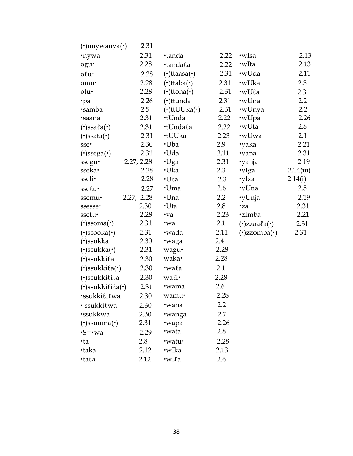| 2.31       |                            |                 |                                   |                  |
|------------|----------------------------|-----------------|-----------------------------------|------------------|
| 2.31       | •tanda                     | 2.22            | •wIsa                             | 2.13             |
| 2.28       | ·tandala                   | 2.22            | •wIta                             | 2.13             |
| 2.28       | $(\cdot)$ ttaasa $(\cdot)$ | 2.31            | •wUda                             | 2.11             |
| 2.28       | $(\cdot)$ ttaba $(\cdot)$  | 2.31            | •wUka                             | 2.3              |
| 2.28       | $(\cdot)$ ttona $(\cdot)$  | 2.31            | •wUla                             | 2.3              |
| 2.26       | $(\cdot)$ ttunda           | 2.31            | •wUna                             | 2.2              |
| 2.5        | $(\cdot)$ ttUUka $(\cdot)$ | 2.31            | •wUnya                            | $2.2\phantom{0}$ |
| 2.31       | ∙tUnda                     | 2.22            | ·wUpa                             | 2.26             |
| 2.31       | •tUndala                   | 2.22            | •wUta                             | 2.8              |
| 2.31       | ∙tUUka                     | 2.23            | •wUwa                             | 2.1              |
| 2.30       | ∙Uba                       | 2.9             | ·yaka                             | 2.21             |
| 2.31       | ∙Uda                       | 2.11            | ·yana                             | 2.31             |
| 2.27, 2.28 | ∙Uga                       | 2.31            | ·yanja                            | 2.19             |
| 2.28       | ·Uka                       | 2.3             | 'yIga                             | 2.14(iii)        |
| 2.28       | $\cdot$ Ula                | 2.3             | •yIza                             | 2.14(i)          |
| 2.27       | •Uma                       | 2.6             | •yUna                             | 2.5              |
| 2.27, 2.28 | ·Una                       | 2.2             | •yUnja                            | 2.19             |
| 2.30       | ∙Uta                       | 2.8             | ·za                               | 2.31             |
| 2.28       | •va                        | 2.23            | <b>·zImba</b>                     | 2.21             |
| 2.31       | •wa                        | 2.1             | $(\cdot)$ zzaa $\ell$ a $(\cdot)$ | 2.31             |
| 2.31       | •wada                      | 2.11            | $(\cdot)$ zzomba $(\cdot)$        | 2.31             |
| 2.30       | ·waga                      | 2.4             |                                   |                  |
| 2.31       | wagu·                      | 2.28            |                                   |                  |
| 2.30       | waka•                      | 2.28            |                                   |                  |
| 2.30       | •wala                      | 2.1             |                                   |                  |
| 2.30       | wali•                      | 2.28            |                                   |                  |
| 2.31       | •wama                      | 2.6             |                                   |                  |
| 2.30       | wamu·                      | 2.28            |                                   |                  |
|            | •wana                      | 2.2             |                                   |                  |
|            |                            | 2.7             |                                   |                  |
| 2.31       |                            | 2.26            |                                   |                  |
|            | •wata                      | 2.8             |                                   |                  |
| 2.8        | ·watu·                     | 2.28            |                                   |                  |
| 2.12       | •wIka                      | 2.13            |                                   |                  |
| 2.12       | $\cdot$ wI $\ell$ a        | 2.6             |                                   |                  |
|            | 2.30<br>2.30<br>2.29       | •wanga<br>·wapa |                                   |                  |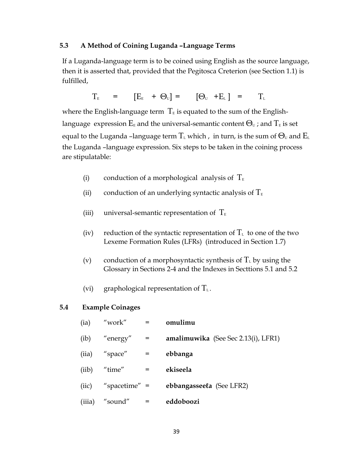#### **5.3 A Method of Coining Luganda –Language Terms**

If a Luganda-language term is to be coined using English as the source language, then it is asserted that, provided that the Pegitosca Creterion (see Section 1.1) is fulfilled,

$$
T_{E} = [E_{E} + \Theta_{U}] = [\Theta_{U} + E_{L}] = T_{L}
$$

where the English-language term  $T<sub>E</sub>$  is equated to the sum of the Englishlanguage expression  $E_{E}$  and the universal-semantic content  $\Theta_{U}$ ; and  $T_{E}$  is set equal to the Luganda –language term  $T_{\text{\tiny L}}$  which , in turn, is the sum of  $\Theta_{\text{\tiny U}}$  and  $E_{\text{\tiny L}}$ the Luganda –language expression. Six steps to be taken in the coining process are stipulatable:

- (i) conduction of a morphological analysis of  $T_{E}$
- (ii) conduction of an underlying syntactic analysis of  $T_{E}$
- (iii) universal-semantic representation of  $T_{E}$
- (iv) reduction of the syntactic representation of  $T<sub>L</sub>$  to one of the two Lexeme Formation Rules (LFRs) (introduced in Section 1.7)
- (v) conduction of a morphosyntactic synthesis of  $T_{\text{L}}$  by using the Glossary in Sections 2-4 and the Indexes in Secttions 5.1 and 5.2
- (vi) graphological representation of  $T_L$ .

#### **5.4 Example Coinages**

| (ia)          | "work"                | $=$ | omulimu                             |
|---------------|-----------------------|-----|-------------------------------------|
| (i <b>b</b> ) | "energy"              | $=$ | amalimuwika (See Sec 2.13(i), LFR1) |
| (iia)         | "space"               |     | ebbanga                             |
| (iib)         | "time"                | $=$ | ekiseela                            |
|               | $(iic)$ "spacetime" = |     | ebbangasseela (See LFR2)            |
| (iii)         | "sound"               |     | eddoboozi                           |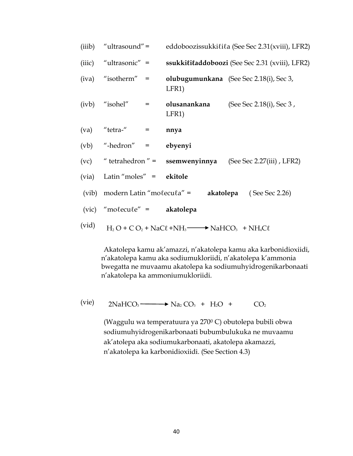|       | (iiib) "ultrasound" =          | eddoboozissukkilila (See Sec 2.31(xviii), LFR2)              |                                                                       |  |
|-------|--------------------------------|--------------------------------------------------------------|-----------------------------------------------------------------------|--|
|       |                                |                                                              | (iiic) "ultrasonic" = ssukkititaddoboozi (See Sec 2.31 (xviii), LFR2) |  |
|       | $(iva)$ "isotherm" =           | LFR1)                                                        | olubugumunkana (See Sec 2.18(i), Sec 3,                               |  |
|       | $(ivb)$ "isohel" =             | LFR <sub>1</sub> )                                           | olusanankana (See Sec 2.18(i), Sec 3,                                 |  |
|       | $(va)$ "tetra-" =              | nnya                                                         |                                                                       |  |
|       | $(vb)$ "-hedron" = ebyenyi     |                                                              |                                                                       |  |
|       |                                |                                                              | (vc) "tetrahedron" = ssemwenyinnya (See Sec 2.27(iii), LFR2)          |  |
|       | (via) Latin "moles" = ekitole  |                                                              |                                                                       |  |
|       |                                | (vib) modern Latin "molecula" =                              | <b>akatolepa</b> (See Sec 2.26)                                       |  |
|       | $(vic)$ "molecule" = akatolepa |                                                              |                                                                       |  |
| (vid) |                                | $H_2O + CO_2 + NaCl + NH_3 \longrightarrow NaHCO_3 + NH_4Cl$ |                                                                       |  |

Akatolepa kamu ak'amazzi, n'akatolepa kamu aka karbonidioxiidi, n'akatolepa kamu aka sodiumukloriidi, n'akatolepa k'ammonia bwegatta ne muvaamu akatolepa ka sodiumuhyidrogenikarbonaati n'akatolepa ka ammoniumukloriidi.

$$
(vie) \qquad 2NAHCO3 \longrightarrow Na2 CO3 + H2O + CO2
$$

(Waggulu wa temperatuura ya 270<sup>0</sup> C) obutolepa bubili obwa sodiumuhyidrogenikarbonaati bubumbulukuka ne muvaamu ak'atolepa aka sodiumukarbonaati, akatolepa akamazzi, n'akatolepa ka karbonidioxiidi. (See Section 4.3)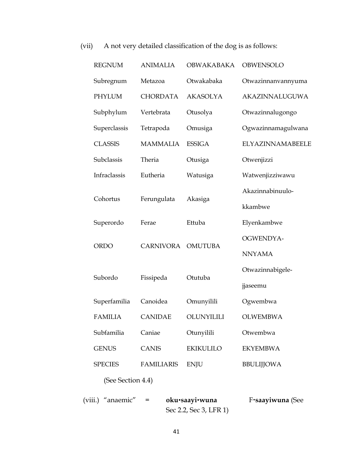| <b>REGNUM</b>        | <b>ANIMALIA</b>  | <b>OBWAKABAKA</b> | OBWENSOLO          |
|----------------------|------------------|-------------------|--------------------|
| Subregnum            | Metazoa          | Otwakabaka        | Otwazinnanvannyuma |
| <b>PHYLUM</b>        | <b>CHORDATA</b>  | <b>AKASOLYA</b>   | AKAZINNALUGUWA     |
| Subphylum            | Vertebrata       | Otusolya          | Otwazinnalugongo   |
| Superclassis         | Tetrapoda        | Omusiga           | Ogwazinnamagulwana |
| <b>CLASSIS</b>       | <b>MAMMALIA</b>  | <b>ESSIGA</b>     | ELYAZINNAMABEELE   |
| Subclassis           | Theria           | Otusiga           | Otwenjizzi         |
| Infraclassis         | Eutheria         | Watusiga          | Watwenjizziwawu    |
| Cohortus             |                  |                   | Akazinnabinuulo-   |
|                      | Ferungulata      | Akasiga           | kkambwe            |
| Superordo            | Ferae            | Ettuba            | Elyenkambwe        |
| <b>ORDO</b>          | <b>CARNIVORA</b> | <b>OMUTUBA</b>    | OGWENDYA-          |
|                      |                  |                   | <b>NNYAMA</b>      |
|                      |                  | Otutuba           | Otwazinnabigele-   |
| Subordo<br>Fissipeda |                  |                   | jjaseemu           |
| Superfamilia         | Canoidea         | Omunyilili        | Ogwembwa           |
| <b>FAMILIA</b>       | <b>CANIDAE</b>   | OLUNYILILI        | <b>OLWEMBWA</b>    |
| Subfamilia           | Caniae           | Otunyilili        | Otwembwa           |
| <b>GENUS</b>         | CANIS            | EKIKULILO         | <b>EKYEMBWA</b>    |
| <b>SPECIES</b>       | FAMILIARIS       | <b>ENJU</b>       | <b>BBULIJJOWA</b>  |
| (See Section 4.4)    |                  |                   |                    |

# (vii) A not very detailed classification of the dog is as follows:

| (viii.) "anaemic" | $=$ | oku•saayi•wuna         | F•saayiwuna (See |
|-------------------|-----|------------------------|------------------|
|                   |     | Sec 2.2, Sec 3, LFR 1) |                  |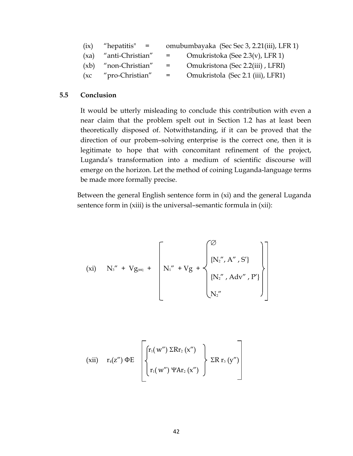| (ix) | "hepatitis"<br>$=$ |     | omubumbayaka (Sec Sec 3, 2.21(iii), LFR 1) |
|------|--------------------|-----|--------------------------------------------|
| (xa) | "anti-Christian"   | $=$ | Omukristoka (See 2.3(v), LFR 1)            |

- (xb) "non-Christian" = Omukristona (Sec 2.2(iii) , LFRI)
- (xc "pro-Christian" = Omukristola (Sec 2.1 (iii), LFR1)

# **5.5 Conclusion**

It would be utterly misleading to conclude this contribution with even a near claim that the problem spelt out in Section 1.2 has at least been theoretically disposed of. Notwithstanding, if it can be proved that the direction of our probem–solving enterprise is the correct one, then it is legitimate to hope that with concomitant refinement of the project, Luganda's transformation into a medium of scientific discourse will emerge on the horizon. Let the method of coining Luganda-language terms be made more formally precise.

Between the general English sentence form in (xi) and the general Luganda sentence form in (xiii) is the universal-semantic formula in (xii):

$$
\hspace{1cm} \mbox{(xi)} \quad N_3'' \; + \; V g_{\mbox{\tiny{[O\!E]}}} \; + \; \left[ N_1'' \; + V g \; + \; \left\{ \begin{matrix} \varnothing \\ \{N_2'', \, A'', \, S'\} \\ \{N_2'', \, A dv'', \, P'\} \\ N_2'' \end{matrix} \right\} \right]
$$

$$
\begin{array}{ll}\n\left(\begin{array}{cc}\n\text{xii}) & r_4(z'') \, \Phi E \\
\end{array}\right) & \left.\begin{array}{c}\n\begin{array}{c}\n\begin{array}{c}\n\begin{array}{c}\n\end{array} \\
\end{array} & \begin{array}{c}\n\end{array} \\
\end{array} & \begin{array}{c}\n\end{array} \\
\end{array} & \begin{array}{c}\n\end{array} \\
\end{array} & \begin{array}{c}\n\end{array} & \begin{array}{c}\n\end{array} & \begin{array}{c}\n\end{array} & \begin{array}{c}\n\end{array} & \begin{array}{c}\n\end{array} & \begin{array}{c}\n\end{array} & \begin{array}{c}\n\end{array} & \begin{array}{c}\n\end{array} & \begin{array}{\n\end{array} & \begin{array}{\n\end{array} & \begin{array}{\n\end{array} & \begin{array}{\n\end{array} & \begin{array}{\n\end{array} & \begin{array}{\n\end{array} & \begin{array}{\n\end{array} & \begin{array}{\n\end{array} & \begin{array}{\n\end{array} & \begin{array}{\n\end{array} & \begin{array}{\n\end{array} & \begin{array}{\n\end{array} & \begin{array}{\n\end{array} & \begin{array}{\n\end{array} & \begin{array}{\n\end{array} & \begin{array}{\n\end{array} & \begin{array}{\n\end{array} & \begin{array}{\n\end{array} & \begin{array}{\n\end{array} & \begin{array}{\n\end{array} & \begin{array}{\n\end{array} & \begin{array}{\n\end{array} & \begin{array}{\n\end{array} & \begin{array}{\n\end{array} & \begin{array}{\n\end{array} & \begin{array}{\n\end{array} & \begin{array}{\n\end{array} & \begin{array}{\n\end{array} & \begin{array}{\n\end{array} & \begin{array}{\n\end{array} & \begin{array}{\n\end{array} & \begin{array
$$